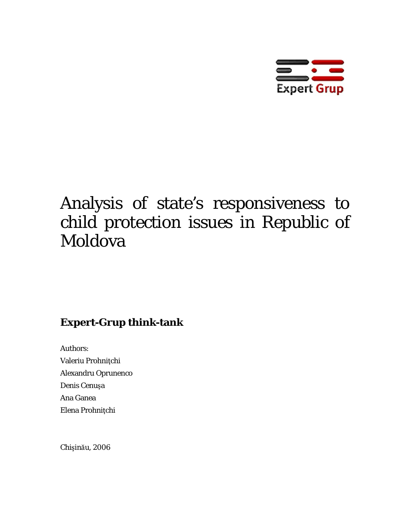

# Analysis of state's responsiveness to child protection issues in Republic of Moldova

# **Expert-Grup think-tank**

Authors: Valeriu Prohniţchi Alexandru Oprunenco Denis Cenuşa Ana Ganea Elena Prohniţchi

Chişinău, 2006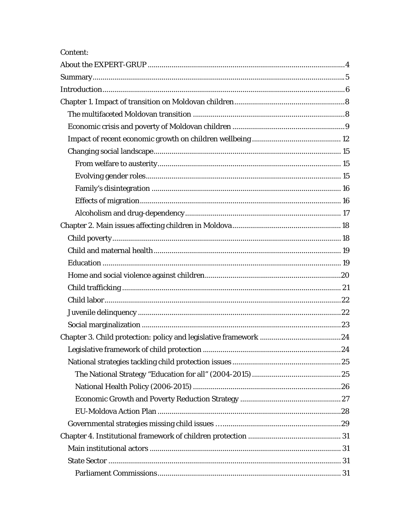| Content: |  |
|----------|--|
|          |  |
|          |  |
|          |  |
|          |  |
|          |  |
|          |  |
|          |  |
|          |  |
|          |  |
|          |  |
|          |  |
|          |  |
|          |  |
|          |  |
|          |  |
|          |  |
|          |  |
|          |  |
|          |  |
|          |  |
|          |  |
|          |  |
|          |  |
|          |  |
|          |  |
|          |  |
|          |  |
|          |  |
|          |  |
|          |  |
|          |  |
|          |  |
|          |  |
|          |  |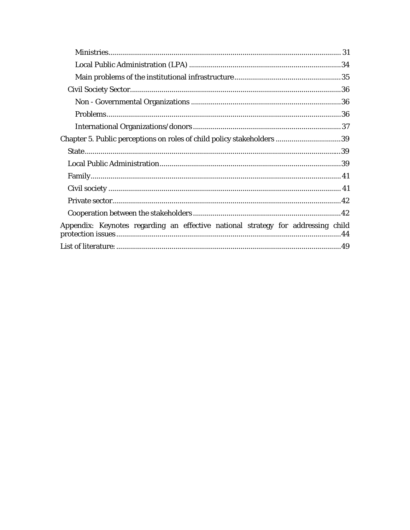| Chapter 5. Public perceptions on roles of child policy stakeholders 39           |
|----------------------------------------------------------------------------------|
|                                                                                  |
|                                                                                  |
|                                                                                  |
|                                                                                  |
|                                                                                  |
|                                                                                  |
| Appendix: Keynotes regarding an effective national strategy for addressing child |
|                                                                                  |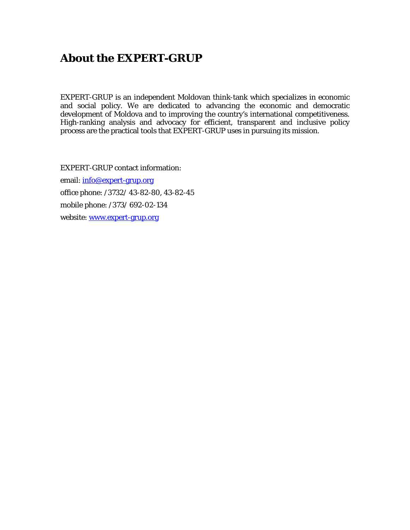# <span id="page-3-0"></span>**About the EXPERT-GRUP**

EXPERT-GRUP is an independent Moldovan think-tank which specializes in economic and social policy. We are dedicated to advancing the economic and democratic development of Moldova and to improving the country's international competitiveness. High-ranking analysis and advocacy for efficient, transparent and inclusive policy process are the practical tools that EXPERT-GRUP uses in pursuing its mission.

EXPERT-GRUP contact information: email: [info@expert-grup.org](mailto:info@expert-grup.org) office phone: /3732/ 43-82-80, 43-82-45 mobile phone: /373/ 692-02-134 website: [www.expert-grup.org](http://www.expert-grup.org/)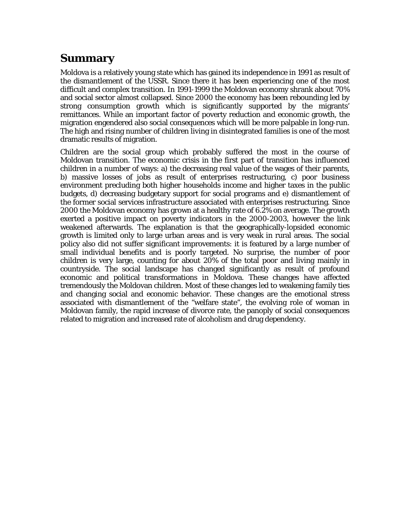# <span id="page-4-0"></span>**Summary**

Moldova is a relatively young state which has gained its independence in 1991 as result of the dismantlement of the USSR. Since there it has been experiencing one of the most difficult and complex transition. In 1991-1999 the Moldovan economy shrank about 70% and social sector almost collapsed. Since 2000 the economy has been rebounding led by strong consumption growth which is significantly supported by the migrants' remittances. While an important factor of poverty reduction and economic growth, the migration engendered also social consequences which will be more palpable in long-run. The high and rising number of children living in disintegrated families is one of the most dramatic results of migration.

Children are the social group which probably suffered the most in the course of Moldovan transition. The economic crisis in the first part of transition has influenced children in a number of ways: a) the decreasing real value of the wages of their parents, b) massive losses of jobs as result of enterprises restructuring, c) poor business environment precluding both higher households income and higher taxes in the public budgets, d) decreasing budgetary support for social programs and e) dismantlement of the former social services infrastructure associated with enterprises restructuring. Since 2000 the Moldovan economy has grown at a healthy rate of 6.2% on average. The growth exerted a positive impact on poverty indicators in the 2000-2003, however the link weakened afterwards. The explanation is that the geographically-lopsided economic growth is limited only to large urban areas and is very weak in rural areas. The social policy also did not suffer significant improvements: it is featured by a large number of small individual benefits and is poorly targeted. No surprise, the number of poor children is very large, counting for about 20% of the total poor and living mainly in countryside. The social landscape has changed significantly as result of profound economic and political transformations in Moldova. These changes have affected tremendously the Moldovan children. Most of these changes led to weakening family ties and changing social and economic behavior. These changes are the emotional stress associated with dismantlement of the "welfare state", the evolving role of woman in Moldovan family, the rapid increase of divorce rate, the panoply of social consequences related to migration and increased rate of alcoholism and drug dependency.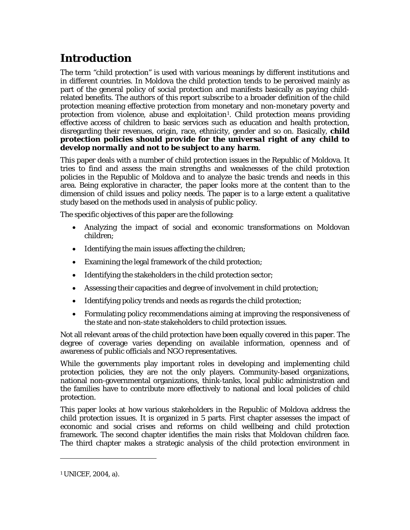# <span id="page-5-0"></span>**Introduction**

The term "child protection" is used with various meanings by different institutions and in different countries. In Moldova the child protection tends to be perceived mainly as part of the general policy of social protection and manifests basically as paying childrelated benefits. The authors of this report subscribe to a broader definition of the child protection meaning effective protection from monetary and non-monetary poverty and protection from violence, abuse and exploitation<sup>[1](#page-5-1)</sup>. Child protection means providing effective access of children to basic services such as education and health protection, disregarding their revenues, origin, race, ethnicity, gender and so on. Basically, *child protection policies should provide for the universal right of any child to develop normally and not to be subject to any harm*.

This paper deals with a number of child protection issues in the Republic of Moldova. It tries to find and assess the main strengths and weaknesses of the child protection policies in the Republic of Moldova and to analyze the basic trends and needs in this area. Being explorative in character, the paper looks more at the content than to the dimension of child issues and policy needs. The paper is to a large extent a qualitative study based on the methods used in analysis of public policy.

The specific objectives of this paper are the following:

- Analyzing the impact of social and economic transformations on Moldovan children;
- Identifying the main issues affecting the children;
- Examining the legal framework of the child protection;
- Identifying the stakeholders in the child protection sector;
- Assessing their capacities and degree of involvement in child protection;
- Identifying policy trends and needs as regards the child protection;
- Formulating policy recommendations aiming at improving the responsiveness of the state and non-state stakeholders to child protection issues.

Not all relevant areas of the child protection have been equally covered in this paper. The degree of coverage varies depending on available information, openness and of awareness of public officials and NGO representatives.

While the governments play important roles in developing and implementing child protection policies, they are not the only players. Community-based organizations, national non-governmental organizations, think-tanks, local public administration and the families have to contribute more effectively to national and local policies of child protection.

This paper looks at how various stakeholders in the Republic of Moldova address the child protection issues. It is organized in 5 parts. First chapter assesses the impact of economic and social crises and reforms on child wellbeing and child protection framework. The second chapter identifies the main risks that Moldovan children face. The third chapter makes a strategic analysis of the child protection environment in

<span id="page-5-1"></span>1 UNICEF, 2004, a).

<u>.</u>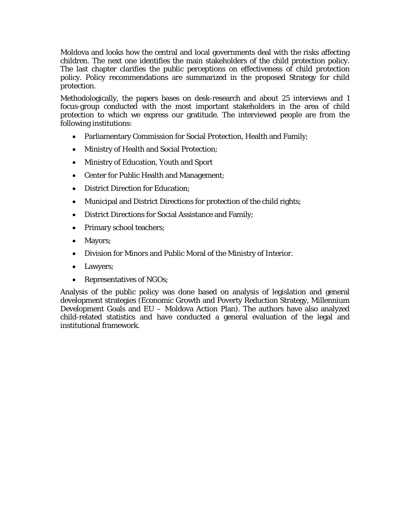Moldova and looks how the central and local governments deal with the risks affecting children. The next one identifies the main stakeholders of the child protection policy. The last chapter clarifies the public perceptions on effectiveness of child protection policy. Policy recommendations are summarized in the proposed Strategy for child protection.

Methodologically, the papers bases on desk-research and about 25 interviews and 1 focus-group conducted with the most important stakeholders in the area of child protection to which we express our gratitude. The interviewed people are from the following institutions:

- Parliamentary Commission for Social Protection, Health and Family;
- Ministry of Health and Social Protection;
- Ministry of Education, Youth and Sport
- Center for Public Health and Management;
- District Direction for Education;
- Municipal and District Directions for protection of the child rights;
- District Directions for Social Assistance and Family;
- Primary school teachers;
- Mayors;
- Division for Minors and Public Moral of the Ministry of Interior.
- Lawyers;
- Representatives of NGOs;

Analysis of the public policy was done based on analysis of legislation and general development strategies (Economic Growth and Poverty Reduction Strategy, Millennium Development Goals and EU – Moldova Action Plan). The authors have also analyzed child-related statistics and have conducted a general evaluation of the legal and institutional framework.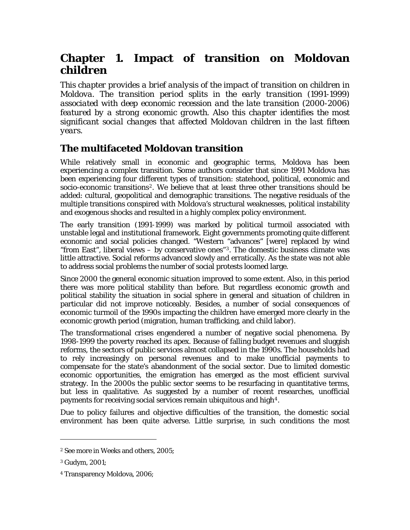# <span id="page-7-0"></span>**Chapter 1. Impact of transition on Moldovan children**

*This chapter provides a brief analysis of the impact of transition on children in Moldova. The transition period splits in the early transition (1991-1999) associated with deep economic recession and the late transition (2000-2006) featured by a strong economic growth. Also this chapter identifies the most significant social changes that affected Moldovan children in the last fifteen years.* 

### **The multifaceted Moldovan transition**

While relatively small in economic and geographic terms, Moldova has been experiencing a complex transition. Some authors consider that since 1991 Moldova has been experiencing four different types of transition: statehood, political, economic and socio-economic transitions<sup>[2](#page-7-1)</sup>. We believe that at least three other transitions should be added: cultural, geopolitical and demographic transitions. The negative residuals of the multiple transitions conspired with Moldova's structural weaknesses, political instability and exogenous shocks and resulted in a highly complex policy environment.

The early transition (1991-1999) was marked by political turmoil associated with unstable legal and institutional framework. Eight governments promoting quite different economic and social policies changed. "Western "advances" [were] replaced by wind "from East", liberal views – by conservative ones"[3](#page-7-2). The domestic business climate was little attractive. Social reforms advanced slowly and erratically. As the state was not able to address social problems the number of social protests loomed large.

Since 2000 the general economic situation improved to some extent. Also, in this period there was more political stability than before. But regardless economic growth and political stability the situation in social sphere in general and situation of children in particular did not improve noticeably. Besides, a number of social consequences of economic turmoil of the 1990s impacting the children have emerged more clearly in the economic growth period (migration, human trafficking, and child labor).

The transformational crises engendered a number of negative social phenomena. By 1998-1999 the poverty reached its apex. Because of falling budget revenues and sluggish reforms, the sectors of public services almost collapsed in the 1990s. The households had to rely increasingly on personal revenues and to make unofficial payments to compensate for the state's abandonment of the social sector. Due to limited domestic economic opportunities, the emigration has emerged as the most efficient survival strategy. In the 2000s the public sector seems to be resurfacing in quantitative terms, but less in qualitative. As suggested by a number of recent researches, unofficial payments for receiving social services remain ubiquitous and high<sup>[4](#page-7-3)</sup>.

Due to policy failures and objective difficulties of the transition, the domestic social environment has been quite adverse. Little surprise, in such conditions the most

<u>.</u>

<span id="page-7-1"></span><sup>2</sup> See more in Weeks and others, 2005;

<sup>3</sup> Gudym, 2001;

<span id="page-7-3"></span><span id="page-7-2"></span><sup>4</sup> Transparency Moldova, 2006;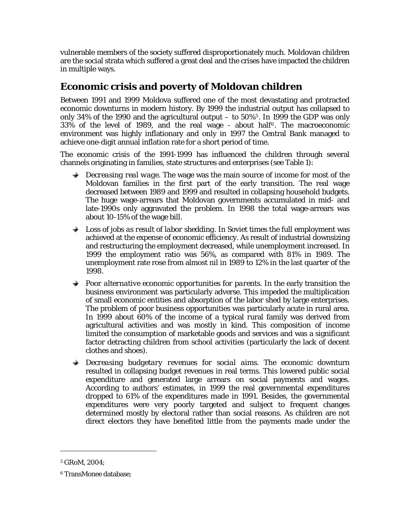<span id="page-8-0"></span>vulnerable members of the society suffered disproportionately much. Moldovan children are the social strata which suffered a great deal and the crises have impacted the children in multiple ways.

### **Economic crisis and poverty of Moldovan children**

Between 1991 and 1999 Moldova suffered one of the most devastating and protracted economic downturns in modern history. By 1999 the industrial output has collapsed to only 34% of the 1990 and the agricultural output  $-$  to [5](#page-8-1)0%<sup>5</sup>. In 1999 the GDP was only  $33\%$  of the level of 1989, and the real wage - about half<sup>[6](#page-8-2)</sup>. The macroeconomic environment was highly inflationary and only in 1997 the Central Bank managed to achieve one-digit annual inflation rate for a short period of time.

The economic crisis of the 1991-1999 has influenced the children through several channels originating in families, state structures and enterprises (see Table 1):

- *Decreasing real wage*. The wage was the main source of income for most of the Moldovan families in the first part of the early transition. The real wage decreased between 1989 and 1999 and resulted in collapsing household budgets. The huge wage-arrears that Moldovan governments accumulated in mid- and late-1990s only aggravated the problem. In 1998 the total wage-arrears was about 10-15% of the wage bill.
- *Loss of jobs as result of labor shedding*. In Soviet times the full employment was achieved at the expense of economic efficiency. As result of industrial downsizing and restructuring the employment decreased, while unemployment increased. In 1999 the employment ratio was 56%, as compared with 81% in 1989. The unemployment rate rose from almost nil in 1989 to 12% in the last quarter of the 1998.
- *Poor alternative economic opportunities for parents.* **In the early transition the** business environment was particularly adverse. This impeded the multiplication of small economic entities and absorption of the labor shed by large enterprises. The problem of poor business opportunities was particularly acute in rural area. In 1999 about 60% of the income of a typical rural family was derived from agricultural activities and was mostly in kind. This composition of income limited the consumption of marketable goods and services and was a significant factor detracting children from school activities (particularly the lack of decent clothes and shoes).
- *Decreasing budgetary revenues for social aims*. The economic downturn  $\rightarrow$ resulted in collapsing budget revenues in real terms. This lowered public social expenditure and generated large arrears on social payments and wages. According to authors' estimates, in 1999 the real governmental expenditures dropped to 61% of the expenditures made in 1991. Besides, the governmental expenditures were very poorly targeted and subject to frequent changes determined mostly by electoral rather than social reasons. As children are not direct electors they have benefited little from the payments made under the

 $\overline{a}$ 

<span id="page-8-1"></span><sup>5</sup> GRoM, 2004;

<span id="page-8-2"></span><sup>6</sup> TransMonee database;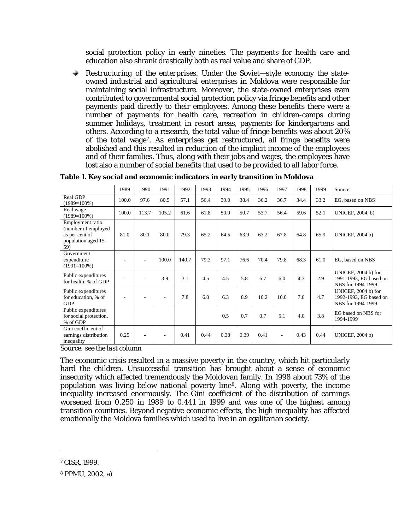social protection policy in early nineties. The payments for health care and education also shrank drastically both as real value and share of GDP.

 $+$  . *Restructuring of the enterprises*. Under the Soviet—style economy the stateowned industrial and agricultural enterprises in Moldova were responsible for maintaining social infrastructure. Moreover, the state-owned enterprises even contributed to governmental social protection policy via fringe benefits and other payments paid directly to their employees. Among these benefits there were a number of payments for health care, recreation in children-camps during summer holidays, treatment in resort areas, payments for kindergartens and others. According to a research, the total value of fringe benefits was about 20% of the total wage[7](#page-9-0). As enterprises get restructured, all fringe benefits were abolished and this resulted in reduction of the implicit income of the employees and of their families. Thus, along with their jobs and wages, the employees have lost also a number of social benefits that used to be provided to all labor force.

|                                                                                         | 1989                 | 1990  | 1991                     | 1992  | 1993 | 1994 | 1995 | 1996 | 1997 | 1998 | 1999 | Source                                                             |
|-----------------------------------------------------------------------------------------|----------------------|-------|--------------------------|-------|------|------|------|------|------|------|------|--------------------------------------------------------------------|
| Real GDP<br>$(1989=100\%)$                                                              | 100.0                | 97.6  | 80.5                     | 57.1  | 56.4 | 39.0 | 38.4 | 36.2 | 36.7 | 34.4 | 33.2 | EG, based on NBS                                                   |
| Real wage<br>$(1989=100\%)$                                                             | 100.0                | 113.7 | 105.2                    | 61.6  | 61.8 | 50.0 | 50.7 | 53.7 | 56.4 | 59.6 | 52.1 | UNICEF, 2004, b)                                                   |
| Employment ratio<br>(number of employed<br>as per cent of<br>population aged 15-<br>59) | 81.0                 | 80.1  | 80.0                     | 79.3  | 65.2 | 64.5 | 63.9 | 63.2 | 67.8 | 64.8 | 65.9 | <b>UNICEF, 2004 b)</b>                                             |
| Government<br>expenditure<br>$(1991=100\%)$                                             | ٠                    |       | 100.0                    | 140.7 | 79.3 | 97.1 | 76.6 | 70.4 | 79.8 | 68.3 | 61.0 | EG, based on NBS                                                   |
| Public expenditures<br>for health, % of GDP                                             | ٠                    |       | 3.9                      | 3.1   | 4.5  | 4.5  | 5.8  | 6.7  | 6.0  | 4.3  | 2.9  | UNICEF, 2004 b) for<br>1991-1993, EG based on<br>NBS for 1994-1999 |
| Public expenditures<br>for education, % of<br><b>GDP</b>                                |                      |       | $\overline{\phantom{a}}$ | 7.8   | 6.0  | 6.3  | 8.9  | 10.2 | 10.0 | 7.0  | 4.7  | UNICEF, 2004 b) for<br>1992-1993, EG based on<br>NBS for 1994-1999 |
| Public expenditures<br>for social protection,<br>% of GDP                               |                      |       |                          |       |      | 0.5  | 0.7  | 0.7  | 5.1  | 4.0  | 3.8  | EG based on NBS for<br>1994-1999                                   |
| Gini coefficient of<br>earnings distribution<br>inequality<br>. .                       | 0.25<br>$\mathbf{r}$ |       |                          | 0.41  | 0.44 | 0.38 | 0.39 | 0.41 | ÷.   | 0.43 | 0.44 | <b>UNICEF, 2004 b)</b>                                             |

**Table 1. Key social and economic indicators in early transition in Moldova** 

*Source: see the last column* 

The economic crisis resulted in a massive poverty in the country, which hit particularly hard the children. Unsuccessful transition has brought about a sense of economic insecurity which affected tremendously the Moldovan family. In 1998 about 73% of the population was living below national poverty line[8](#page-9-1). Along with poverty, the income inequality increased enormously. The Gini coefficient of the distribution of earnings worsened from 0.250 in 1989 to 0.441 in 1999 and was one of the highest among transition countries. Beyond negative economic effects, the high inequality has affected emotionally the Moldova families which used to live in an egalitarian society.

 $\overline{a}$ 

<span id="page-9-0"></span><sup>7</sup> CISR, 1999.

<span id="page-9-1"></span><sup>8</sup> PPMU, 2002, a)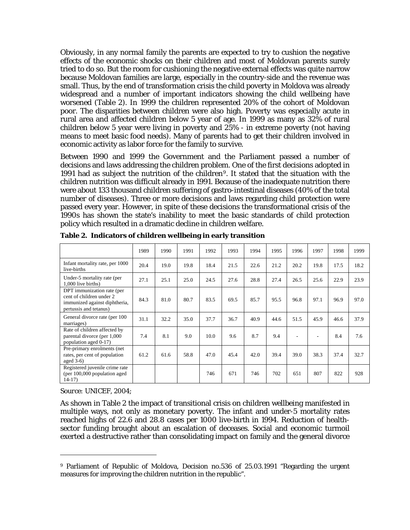Obviously, in any normal family the parents are expected to try to cushion the negative effects of the economic shocks on their children and most of Moldovan parents surely tried to do so. But the room for cushioning the negative external effects was quite narrow because Moldovan families are large, especially in the country-side and the revenue was small. Thus, by the end of transformation crisis the child poverty in Moldova was already widespread and a number of important indicators showing the child wellbeing have worsened (Table 2). In 1999 the children represented 20% of the cohort of Moldovan poor. The disparities between children were also high. Poverty was especially acute in rural area and affected children below 5 year of age. In 1999 as many as 32% of rural children below 5 year were living in poverty and 25% - in extreme poverty (not having means to meet basic food needs). Many of parents had to get their children involved in economic activity as labor force for the family to survive.

Between 1990 and 1999 the Government and the Parliament passed a number of decisions and laws addressing the children problem. One of the first decisions adopted in 1991 had as subject the nutrition of the children[9](#page-10-0). It stated that the situation with the children nutrition was difficult already in 1991. Because of the inadequate nutrition there were about 133 thousand children suffering of gastro-intestinal diseases (40% of the total number of diseases). Three or more decisions and laws regarding child protection were passed every year. However, in spite of these decisions the transformational crisis of the 1990s has shown the state's inability to meet the basic standards of child protection policy which resulted in a dramatic decline in children welfare.

|                                                                                                                   | 1989 | 1990 | 1991 | 1992 | 1993 | 1994 | 1995 | 1996 | 1997 | 1998 | 1999 |
|-------------------------------------------------------------------------------------------------------------------|------|------|------|------|------|------|------|------|------|------|------|
| Infant mortality rate, per 1000<br>live-births                                                                    | 20.4 | 19.0 | 19.8 | 18.4 | 21.5 | 22.6 | 21.2 | 20.2 | 19.8 | 17.5 | 18.2 |
| Under-5 mortality rate (per<br>1,000 live births)                                                                 | 27.1 | 25.1 | 25.0 | 24.5 | 27.6 | 28.8 | 27.4 | 26.5 | 25.6 | 22.9 | 23.9 |
| DPT immunization rate (per<br>cent of children under 2<br>immunized against diphtheria,<br>pertussis and tetanus) | 84.3 | 81.0 | 80.7 | 83.5 | 69.5 | 85.7 | 95.5 | 96.8 | 97.1 | 96.9 | 97.0 |
| General divorce rate (per 100<br>marriages)                                                                       | 31.1 | 32.2 | 35.0 | 37.7 | 36.7 | 40.9 | 44.6 | 51.5 | 45.9 | 46.6 | 37.9 |
| Rate of children affected by<br>parental divorce (per 1,000)<br>population aged 0-17)                             | 7.4  | 8.1  | 9.0  | 10.0 | 9.6  | 8.7  | 9.4  | ۰    | ٠    | 8.4  | 7.6  |
| Pre-primary enrolments (net)<br>rates, per cent of population<br>aged $3-6$ )                                     | 61.2 | 61.6 | 58.8 | 47.0 | 45.4 | 42.0 | 39.4 | 39.0 | 38.3 | 37.4 | 32.7 |
| Registered juvenile crime rate<br>(per $100,000$ population aged<br>$14-17$                                       |      |      |      | 746  | 671  | 746  | 702  | 651  | 807  | 822  | 928  |

**Table 2. Indicators of children wellbeing in early transition** 

#### *Source: UNICEF, 2004;*

 $\overline{a}$ 

As shown in Table 2 the impact of transitional crisis on children wellbeing manifested in multiple ways, not only as monetary poverty. The infant and under-5 mortality rates reached highs of 22.6 and 28.8 cases per 1000 live-birth in 1994. Reduction of healthsector funding brought about an escalation of deceases. Social and economic turmoil exerted a destructive rather than consolidating impact on family and the general divorce

<span id="page-10-0"></span><sup>9</sup> Parliament of Republic of Moldova, Decision no.536 of 25.03.1991 "Regarding the urgent measures for improving the children nutrition in the republic".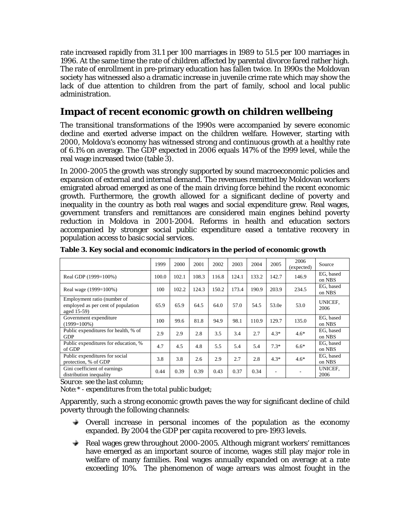<span id="page-11-0"></span>rate increased rapidly from 31.1 per 100 marriages in 1989 to 51.5 per 100 marriages in 1996. At the same time the rate of children affected by parental divorce fared rather high. The rate of enrollment in pre-primary education has fallen twice. In 1990s the Moldovan society has witnessed also a dramatic increase in juvenile crime rate which may show the lack of due attention to children from the part of family, school and local public administration.

### **Impact of recent economic growth on children wellbeing**

The transitional transformations of the 1990s were accompanied by severe economic decline and exerted adverse impact on the children welfare. However, starting with 2000, Moldova's economy has witnessed strong and continuous growth at a healthy rate of 6.1% on average. The GDP expected in 2006 equals 147% of the 1999 level, while the real wage increased twice (table 3).

In 2000-2005 the growth was strongly supported by sound macroeconomic policies and expansion of external and internal demand. The revenues remitted by Moldovan workers emigrated abroad emerged as one of the main driving force behind the recent economic growth. Furthermore, the growth allowed for a significant decline of poverty and inequality in the country as both real wages and social expenditure grew. Real wages, government transfers and remittances are considered main engines behind poverty reduction in Moldova in 2001-2004. Reforms in health and education sectors accompanied by stronger social public expenditure eased a tentative recovery in population access to basic social services.

|                                                                                  | 1999  | 2000  | 2001  | 2002  | 2003  | 2004  | 2005   | 2006<br>(expected) | Source              |
|----------------------------------------------------------------------------------|-------|-------|-------|-------|-------|-------|--------|--------------------|---------------------|
| Real GDP (1999=100%)                                                             | 100.0 | 102.1 | 108.3 | 116.8 | 124.1 | 133.2 | 142.7  | 146.9              | EG, based<br>on NBS |
| Real wage (1999=100%)                                                            | 100   | 102.2 | 124.3 | 150.2 | 173.4 | 190.9 | 203.9  | 234.5              | EG, based<br>on NBS |
| Employment ratio (number of<br>employed as per cent of population<br>aged 15-59) | 65.9  | 65.9  | 64.5  | 64.0  | 57.0  | 54.5  | 53.0e  | 53.0               | UNICEF.<br>2006     |
| Government expenditure<br>$(1999=100\%)$                                         | 100   | 99.6  | 81.8  | 94.9  | 98.1  | 110.9 | 129.7  | 135.0              | EG, based<br>on NBS |
| Public expenditures for health, % of<br><b>GDP</b>                               | 2.9   | 2.9   | 2.8   | 3.5   | 3.4   | 2.7   | $4.3*$ | $4.6*$             | EG, based<br>on NBS |
| Public expenditures for education, %<br>of GDP                                   | 4.7   | 4.5   | 4.8   | 5.5   | 5.4   | 5.4   | $7.3*$ | $6.6*$             | EG, based<br>on NBS |
| Public expenditures for social<br>protection, % of GDP                           | 3.8   | 3.8   | 2.6   | 2.9   | 2.7   | 2.8   | $4.3*$ | $4.6*$             | EG, based<br>on NBS |
| Gini coefficient of earnings<br>distribution inequality                          | 0.44  | 0.39  | 0.39  | 0.43  | 0.37  | 0.34  |        |                    | UNICEF.<br>2006     |

**Table 3. Key social and economic indicators in the period of economic growth** 

*Source: see the last column;* 

*Note:\* - expenditures from the total public budget;* 

Apparently, such a strong economic growth paves the way for significant decline of child poverty through the following channels:

- $\rightarrow$  Overall increase in personal incomes of the population as the economy expanded. By 2004 the GDP per capita recovered to pre-1993 levels.
- Real wages grew throughout 2000-2005. Although migrant workers' remittances have emerged as an important source of income, wages still play major role in welfare of many families. Real wages annually expanded on average at a rate exceeding 10%. The phenomenon of wage arrears was almost fought in the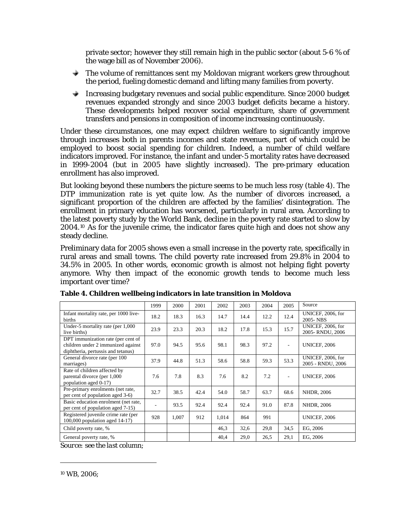private sector; however they still remain high in the public sector (about 5-6 % of the wage bill as of November 2006).

- $\rightarrow$  The volume of remittances sent my Moldovan migrant workers grew throughout the period, fueling domestic demand and lifting many families from poverty.
- Increasing budgetary revenues and social public expenditure. Since 2000 budget revenues expanded strongly and since 2003 budget deficits became a history. These developments helped recover social expenditure, share of government transfers and pensions in composition of income increasing continuously.

Under these circumstances, one may expect children welfare to significantly improve through increases both in parents incomes and state revenues, part of which could be employed to boost social spending for children. Indeed, a number of child welfare indicators improved. For instance, the infant and under-5 mortality rates have decreased in 1999-2004 (but in 2005 have slightly increased). The pre-primary education enrollment has also improved.

But looking beyond these numbers the picture seems to be much less rosy (table 4). The DTP immunization rate is yet quite low. As the number of divorces increased, a significant proportion of the children are affected by the families' disintegration. The enrollment in primary education has worsened, particularly in rural area. According to the latest poverty study by the World Bank, decline in the poverty rate started to slow by 2004.[10](#page-12-0) As for the juvenile crime, the indicator fares quite high and does not show any steady decline.

Preliminary data for 2005 shows even a small increase in the poverty rate, specifically in rural areas and small towns. The child poverty rate increased from 29.8% in 2004 to 34.5% in 2005. In other words, economic growth is almost not helping fight poverty anymore. Why then impact of the economic growth tends to become much less important over time?

|                                                                                                                | 1999 | 2000  | 2001 | 2002  | 2003 | 2004 | 2005 | Source                                 |
|----------------------------------------------------------------------------------------------------------------|------|-------|------|-------|------|------|------|----------------------------------------|
| Infant mortality rate, per 1000 live-<br>births                                                                | 18.2 | 18.3  | 16.3 | 14.7  | 14.4 | 12.2 | 12.4 | UNICEF, 2006, for<br>2005-NBS          |
| Under-5 mortality rate (per 1,000)<br>live births)                                                             | 23.9 | 23.3  | 20.3 | 18.2  | 17.8 | 15.3 | 15.7 | UNICEF, 2006, for<br>2005-RNDU, 2006   |
| DPT immunization rate (per cent of<br>children under 2 immunized against<br>diphtheria, pertussis and tetanus) | 97.0 | 94.5  | 95.6 | 98.1  | 98.3 | 97.2 | ٠    | <b>UNICEF, 2006</b>                    |
| General divorce rate (per 100<br>marriages)                                                                    | 37.9 | 44.8  | 51.3 | 58.6  | 58.8 | 59.3 | 53.3 | UNICEF, 2006, for<br>2005 - RNDU, 2006 |
| Rate of children affected by<br>parental divorce (per 1,000)<br>population aged 0-17)                          | 7.6  | 7.8   | 8.3  | 7.6   | 8.2  | 7.2  |      | <b>UNICEF, 2006</b>                    |
| Pre-primary enrolments (net rate,<br>per cent of population aged 3-6)                                          | 32.7 | 38.5  | 42.4 | 54.0  | 58.7 | 63.7 | 68.6 | NHDR, 2006                             |
| Basic education enrolment (net rate,<br>per cent of population aged 7-15)                                      |      | 93.5  | 92.4 | 92.4  | 92.4 | 91.0 | 87.8 | NHDR, 2006                             |
| Registered juvenile crime rate (per<br>$100,000$ population aged $14-17$ )                                     | 928  | 1,007 | 912  | 1,014 | 864  | 991  |      | <b>UNICEF, 2006</b>                    |
| Child poverty rate, %                                                                                          |      |       |      | 46.3  | 32,6 | 29,8 | 34.5 | EG, 2006                               |
| General poverty rate, %<br>$\mathbf{r}$                                                                        |      |       |      | 40,4  | 29,0 | 26,5 | 29,1 | EG, 2006                               |

**Table 4. Children wellbeing indicators in late transition in Moldova** 

*Source: see the last column;* 

<span id="page-12-0"></span> $\overline{a}$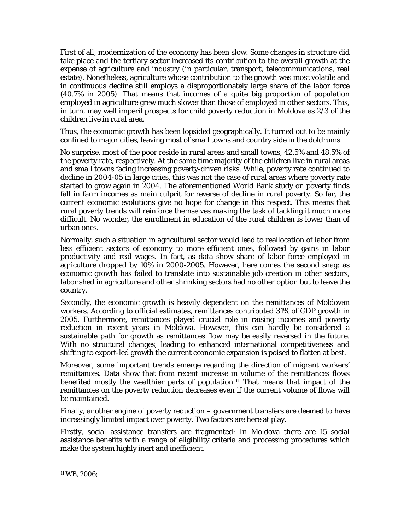First of all, modernization of the economy has been slow. Some changes in structure did take place and the tertiary sector increased its contribution to the overall growth at the expense of agriculture and industry (in particular, transport, telecommunications, real estate). Nonetheless, agriculture whose contribution to the growth was most volatile and in continuous decline still employs a disproportionately large share of the labor force (40.7% in 2005). That means that incomes of a quite big proportion of population employed in agriculture grew much slower than those of employed in other sectors. This, in turn, may well imperil prospects for child poverty reduction in Moldova as 2/3 of the children live in rural area.

Thus, the economic growth has been lopsided geographically. It turned out to be mainly confined to major cities, leaving most of small towns and country side in the doldrums.

No surprise, most of the poor reside in rural areas and small towns, 42.5% and 48.5% of the poverty rate, respectively. At the same time majority of the children live in rural areas and small towns facing increasing poverty-driven risks. While, poverty rate continued to decline in 2004-05 in large cities, this was not the case of rural areas where poverty rate started to grow again in 2004. The aforementioned World Bank study on poverty finds fall in farm incomes as main culprit for reverse of decline in rural poverty. So far, the current economic evolutions give no hope for change in this respect. This means that rural poverty trends will reinforce themselves making the task of tackling it much more difficult. No wonder, the enrollment in education of the rural children is lower than of urban ones.

Normally, such a situation in agricultural sector would lead to reallocation of labor from less efficient sectors of economy to more efficient ones, followed by gains in labor productivity and real wages. In fact, as data show share of labor force employed in agriculture dropped by 10% in 2000-2005. However, here comes the second snag: as economic growth has failed to translate into sustainable job creation in other sectors, labor shed in agriculture and other shrinking sectors had no other option but to leave the country.

Secondly, the economic growth is heavily dependent on the remittances of Moldovan workers. According to official estimates, remittances contributed 31% of GDP growth in 2005. Furthermore, remittances played crucial role in raising incomes and poverty reduction in recent years in Moldova. However, this can hardly be considered a sustainable path for growth as remittances flow may be easily reversed in the future. With no structural changes, leading to enhanced international competitiveness and shifting to export-led growth the current economic expansion is poised to flatten at best.

Moreover, some important trends emerge regarding the direction of migrant workers' remittances. Data show that from recent increase in volume of the remittances flows benefited mostly the wealthier parts of population.<sup>[11](#page-13-0)</sup> That means that impact of the remittances on the poverty reduction decreases even if the current volume of flows will be maintained.

Finally, another engine of poverty reduction – government transfers are deemed to have increasingly limited impact over poverty. Two factors are here at play.

Firstly, social assistance transfers are fragmented: In Moldova there are 15 social assistance benefits with a range of eligibility criteria and processing procedures which make the system highly inert and inefficient.

 $\overline{a}$ 

<span id="page-13-0"></span><sup>11</sup> WB, 2006;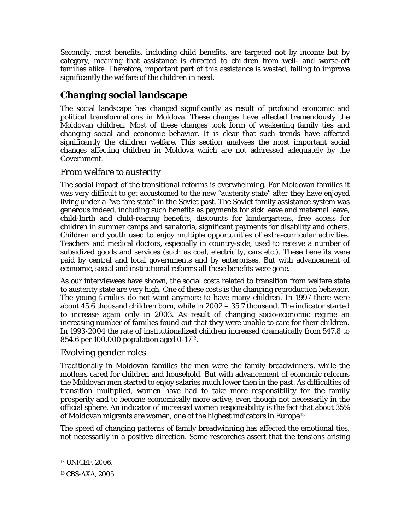<span id="page-14-0"></span>Secondly, most benefits, including child benefits, are targeted not by income but by category, meaning that assistance is directed to children from well- and worse-off families alike. Therefore, important part of this assistance is wasted, failing to improve significantly the welfare of the children in need.

# **Changing social landscape**

The social landscape has changed significantly as result of profound economic and political transformations in Moldova. These changes have affected tremendously the Moldovan children. Most of these changes took form of weakening family ties and changing social and economic behavior. It is clear that such trends have affected significantly the children welfare. This section analyses the most important social changes affecting children in Moldova which are not addressed adequately by the Government.

### *From welfare to austerity*

The social impact of the transitional reforms is overwhelming. For Moldovan families it was very difficult to get accustomed to the new "austerity state" after they have enjoyed living under a "welfare state" in the Soviet past. The Soviet family assistance system was generous indeed, including such benefits as payments for sick leave and maternal leave, child-birth and child-rearing benefits, discounts for kindergartens, free access for children in summer camps and sanatoria, significant payments for disability and others. Children and youth used to enjoy multiple opportunities of extra-curricular activities. Teachers and medical doctors, especially in country-side, used to receive a number of subsidized goods and services (such as coal, electricity, cars etc.). These benefits were paid by central and local governments and by enterprises. But with advancement of economic, social and institutional reforms all these benefits were gone.

As our interviewees have shown, the social costs related to transition from welfare state to austerity state are very high. One of these costs is the changing reproduction behavior. The young families do not want anymore to have many children. In 1997 there were about 45.6 thousand children born, while in 2002 – 35.7 thousand. The indicator started to increase again only in 2003. As result of changing socio-economic regime an increasing number of families found out that they were unable to care for their children. In 1993-2004 the rate of institutionalized children increased dramatically from 547.8 to 854.6 per 100.000 population aged 0-17[12](#page-14-1).

### *Evolving gender roles*

Traditionally in Moldovan families the men were the family breadwinners, while the mothers cared for children and household. But with advancement of economic reforms the Moldovan men started to enjoy salaries much lower then in the past. As difficulties of transition multiplied, women have had to take more responsibility for the family prosperity and to become economically more active, even though not necessarily in the official sphere. An indicator of increased women responsibility is the fact that about 35% of Moldovan migrants are women, one of the highest indicators in Europe<sup>[13](#page-14-2)</sup>.

The speed of changing patterns of family breadwinning has affected the emotional ties, not necessarily in a positive direction. Some researches assert that the tensions arising

<u>.</u>

<span id="page-14-1"></span><sup>12</sup> UNICEF, 2006.

<span id="page-14-2"></span><sup>13</sup> CBS-AXA, 2005.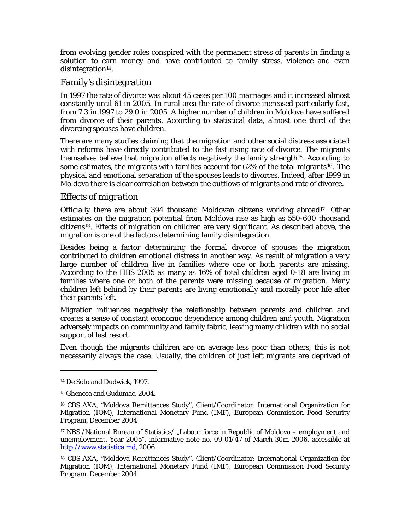<span id="page-15-0"></span>from evolving gender roles conspired with the permanent stress of parents in finding a solution to earn money and have contributed to family stress, violence and even disintegration $14$ .

### *Family's disintegration*

In 1997 the rate of divorce was about 45 cases per 100 marriages and it increased almost constantly until 61 in 2005. In rural area the rate of divorce increased particularly fast, from 7.3 in 1997 to 29.0 in 2005. A higher number of children in Moldova have suffered from divorce of their parents. According to statistical data, almost one third of the divorcing spouses have children.

There are many studies claiming that the migration and other social distress associated with reforms have directly contributed to the fast rising rate of divorce. The migrants themselves believe that migration affects negatively the family strength<sup>[15](#page-15-2)</sup>. According to some estimates, the migrants with families account for  $62\%$  of the total migrants<sup>[16](#page-15-3)</sup>. The physical and emotional separation of the spouses leads to divorces. Indeed, after 1999 in Moldova there is clear correlation between the outflows of migrants and rate of divorce.

#### *Effects of migration*

Officially there are about 394 thousand Moldovan citizens working abroad<sup>[17](#page-15-4)</sup>. Other estimates on the migration potential from Moldova rise as high as 550-600 thousand citizens[18](#page-15-5). Effects of migration on children are very significant. As described above, the migration is one of the factors determining family disintegration.

Besides being a factor determining the formal divorce of spouses the migration contributed to children emotional distress in another way. As result of migration a very large number of children live in families where one or both parents are missing. According to the HBS 2005 as many as 16% of total children aged 0-18 are living in families where one or both of the parents were missing because of migration. Many children left behind by their parents are living emotionally and morally poor life after their parents left.

Migration influences negatively the relationship between parents and children and creates a sense of constant economic dependence among children and youth. Migration adversely impacts on community and family fabric, leaving many children with no social support of last resort.

Even though the migrants children are on average less poor than others, this is not necessarily always the case. Usually, the children of just left migrants are deprived of

l

<span id="page-15-1"></span><sup>14</sup> De Soto and Dudwick, 1997.

<sup>15</sup> Ghencea and Gudumac, 2004.

<span id="page-15-3"></span><span id="page-15-2"></span><sup>16</sup> CBS AXA, "Moldova Remittances Study", Client/Coordinator: International Organization for Migration (IOM), International Monetary Fund (IMF), European Commission Food Security Program, December 2004

<span id="page-15-4"></span><sup>&</sup>lt;sup>17</sup> NBS /National Bureau of Statistics/ "Labour force in Republic of Moldova – employment and unemployment. Year 2005", informative note no. 09-01/47 of March 30m 2006, accessible at [http://www.statistica.md](http://www.statistica.md/dates.php?lang=ro&ct=21), 2006.

<span id="page-15-5"></span><sup>18</sup> CBS AXA, "Moldova Remittances Study", Client/Coordinator: International Organization for Migration (IOM), International Monetary Fund (IMF), European Commission Food Security Program, December 2004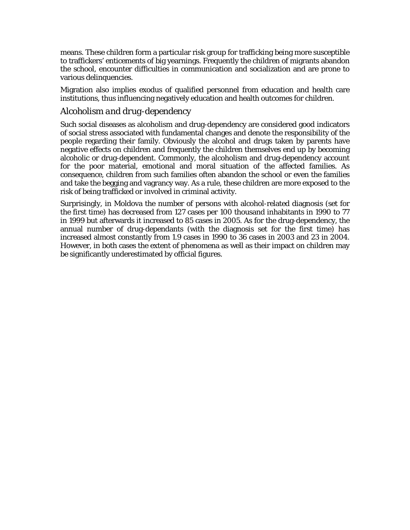<span id="page-16-0"></span>means. These children form a particular risk group for trafficking being more susceptible to traffickers' enticements of big yearnings. Frequently the children of migrants abandon the school, encounter difficulties in communication and socialization and are prone to various delinquencies.

Migration also implies exodus of qualified personnel from education and health care institutions, thus influencing negatively education and health outcomes for children.

### *Alcoholism and drug-dependency*

Such social diseases as alcoholism and drug-dependency are considered good indicators of social stress associated with fundamental changes and denote the responsibility of the people regarding their family. Obviously the alcohol and drugs taken by parents have negative effects on children and frequently the children themselves end up by becoming alcoholic or drug-dependent. Commonly, the alcoholism and drug-dependency account for the poor material, emotional and moral situation of the affected families. As consequence, children from such families often abandon the school or even the families and take the begging and vagrancy way. As a rule, these children are more exposed to the risk of being trafficked or involved in criminal activity.

Surprisingly, in Moldova the number of persons with alcohol-related diagnosis (set for the first time) has decreased from 127 cases per 100 thousand inhabitants in 1990 to 77 in 1999 but afterwards it increased to 85 cases in 2005. As for the drug-dependency, the annual number of drug-dependants (with the diagnosis set for the first time) has increased almost constantly from 1.9 cases in 1990 to 36 cases in 2003 and 23 in 2004. However, in both cases the extent of phenomena as well as their impact on children may be significantly underestimated by official figures.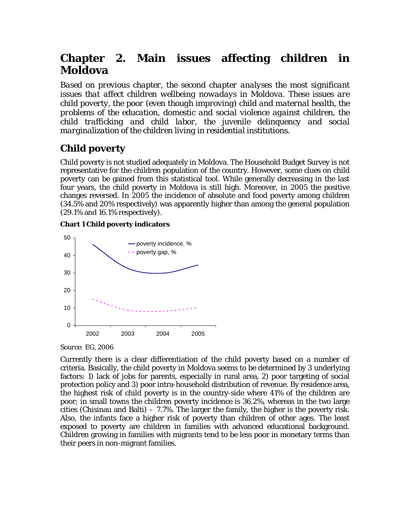# <span id="page-17-0"></span>**Chapter 2. Main issues affecting children in Moldova**

*Based on previous chapter, the second chapter analyses the most significant issues that affect children wellbeing nowadays in Moldova. These issues are child poverty, the poor (even though improving) child and maternal health, the problems of the education, domestic and social violence against children, the child trafficking and child labor, the juvenile delinquency and social marginalization of the children living in residential institutions.* 

# **Child poverty**

Child poverty is not studied adequately in Moldova. The Household Budget Survey is not representative for the children population of the country. However, some clues on child poverty can be gained from this statistical tool. While generally decreasing in the last four years, the child poverty in Moldova is still high. Moreover, in 2005 the positive changes reversed. In 2005 the incidence of absolute and food poverty among children (34.5% and 20% respectively) was apparently higher than among the general population (29.1% and 16.1% respectively).

#### **Chart 1 Child poverty indicators**





Currently there is a clear differentiation of the child poverty based on a number of criteria. Basically, the child poverty in Moldova seems to be determined by 3 underlying factors: 1) lack of jobs for parents, especially in rural area, 2) poor targeting of social protection policy and 3) poor intra-household distribution of revenue. By residence area, the highest risk of child poverty is in the country-side where 41% of the children are poor; in small towns the children poverty incidence is 36.2%, whereas in the two large cities (Chisinau and Balti) – 7.7%. The larger the family, the higher is the poverty risk. Also, the infants face a higher risk of poverty than children of other ages. The least exposed to poverty are children in families with advanced educational background. Children growing in families with migrants tend to be less poor in monetary terms than their peers in non-migrant families.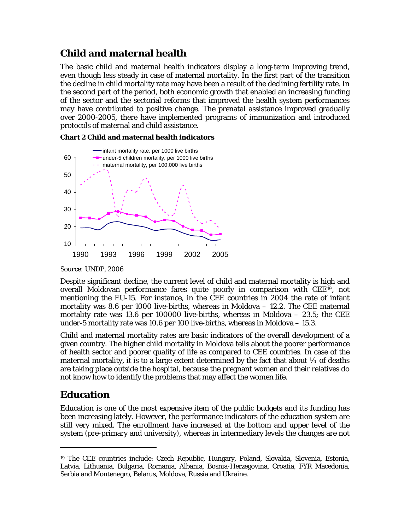# <span id="page-18-0"></span>**Child and maternal health**

The basic child and maternal health indicators display a long-term improving trend, even though less steady in case of maternal mortality. In the first part of the transition the decline in child mortality rate may have been a result of the declining fertility rate. In the second part of the period, both economic growth that enabled an increasing funding of the sector and the sectorial reforms that improved the health system performances may have contributed to positive change. The prenatal assistance improved gradually over 2000-2005, there have implemented programs of immunization and introduced protocols of maternal and child assistance.



**Chart 2 Child and maternal health indicators** 

Despite significant decline, the current level of child and maternal mortality is high and overall Moldovan performance fares quite poorly in comparison with CEE[19](#page-18-1), not mentioning the EU-15. For instance, in the CEE countries in 2004 the rate of infant mortality was 8.6 per 1000 live-births, whereas in Moldova – 12.2. The CEE maternal mortality rate was 13.6 per 100000 live-births, whereas in Moldova – 23.5; the CEE under-5 mortality rate was 10.6 per 100 live-births, whereas in Moldova – 15.3.

Child and maternal mortality rates are basic indicators of the overall development of a given country. The higher child mortality in Moldova tells about the poorer performance of health sector and poorer quality of life as compared to CEE countries. In case of the maternal mortality, it is to a large extent determined by the fact that about  $\frac{1}{4}$  of deaths are taking place outside the hospital, because the pregnant women and their relatives do not know how to identify the problems that may affect the women life.

# **Education**

 $\overline{a}$ 

Education is one of the most expensive item of the public budgets and its funding has been increasing lately. However, the performance indicators of the education system are still very mixed. The enrollment have increased at the bottom and upper level of the system (pre-primary and university), whereas in intermediary levels the changes are not

*Source: UNDP, 2006* 

<span id="page-18-1"></span><sup>19</sup> The CEE countries include: Czech Republic, Hungary, Poland, Slovakia, Slovenia, Estonia, Latvia, Lithuania, Bulgaria, Romania, Albania, Bosnia-Herzegovina, Croatia, FYR Macedonia, Serbia and Montenegro, Belarus, Moldova, Russia and Ukraine.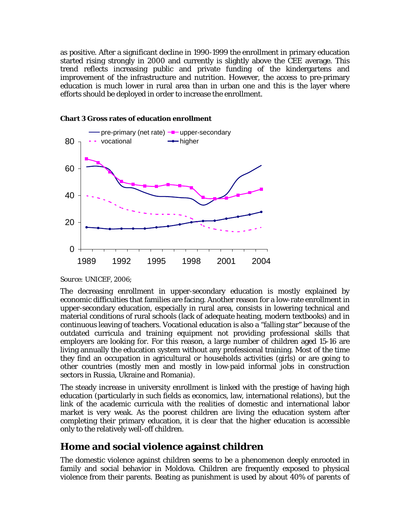<span id="page-19-0"></span>as positive. After a significant decline in 1990-1999 the enrollment in primary education started rising strongly in 2000 and currently is slightly above the CEE average. This trend reflects increasing public and private funding of the kindergartens and improvement of the infrastructure and nutrition. However, the access to pre-primary education is much lower in rural area than in urban one and this is the layer where efforts should be deployed in order to increase the enrollment.



#### **Chart 3 Gross rates of education enrollment**

*Source: UNICEF, 2006;* 

The decreasing enrollment in upper-secondary education is mostly explained by economic difficulties that families are facing. Another reason for a low-rate enrollment in upper-secondary education, especially in rural area, consists in lowering technical and material conditions of rural schools (lack of adequate heating, modern textbooks) and in continuous leaving of teachers. Vocational education is also a "falling star" because of the outdated curricula and training equipment not providing professional skills that employers are looking for. For this reason, a large number of children aged 15-16 are living annually the education system without any professional training. Most of the time they find an occupation in agricultural or households activities (girls) or are going to other countries (mostly men and mostly in low-paid informal jobs in construction sectors in Russia, Ukraine and Romania).

The steady increase in university enrollment is linked with the prestige of having high education (particularly in such fields as economics, law, international relations), but the link of the academic curricula with the realities of domestic and international labor market is very weak. As the poorest children are living the education system after completing their primary education, it is clear that the higher education is accessible only to the relatively well-off children.

### **Home and social violence against children**

The domestic violence against children seems to be a phenomenon deeply enrooted in family and social behavior in Moldova. Children are frequently exposed to physical violence from their parents. Beating as punishment is used by about 40% of parents of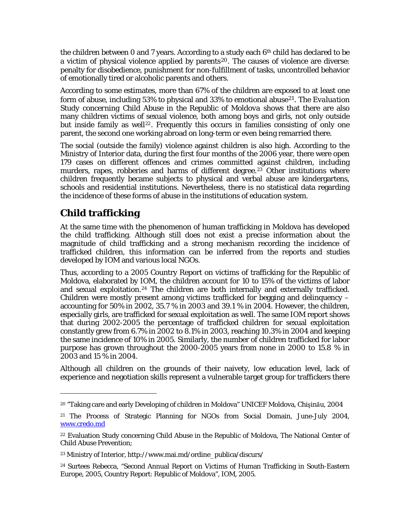<span id="page-20-0"></span>the children between 0 and 7 years. According to a study each  $6<sup>th</sup>$  child has declared to be a victim of physical violence applied by parents<sup>[20](#page-20-1)</sup>. The causes of violence are diverse: penalty for disobedience, punishment for non-fulfillment of tasks, uncontrolled behavior of emotionally tired or alcoholic parents and others.

According to some estimates, more than 67% of the children are exposed to at least one form of abuse, including 53% to physical and 33% to emotional abuse[21](#page-20-2). The *Evaluation Study concerning Child Abuse in the Republic of Moldova* shows that there are also many children victims of sexual violence, both among boys and girls, not only outside but inside family as well<sup>[22](#page-20-3)</sup>. Frequently this occurs in families consisting of only one parent, the second one working abroad on long-term or even being remarried there.

The social (outside the family) violence against children is also high. According to the Ministry of Interior data, during the first four months of the 2006 year, there were open 179 cases on different offences and crimes committed against children, including murders, rapes, robberies and harms of different degree.<sup>[23](#page-20-4)</sup> Other institutions where children frequently became subjects to physical and verbal abuse are kindergartens, schools and residential institutions. Nevertheless, there is no statistical data regarding the incidence of these forms of abuse in the institutions of education system.

# **Child trafficking**

 $\overline{a}$ 

At the same time with the phenomenon of human trafficking in Moldova has developed the child trafficking. Although still does not exist a precise information about the magnitude of child trafficking and a strong mechanism recording the incidence of trafficked children, this information can be inferred from the reports and studies developed by IOM and various local NGOs.

Thus, according to a 2005 Country Report on victims of trafficking for the Republic of Moldova, elaborated by IOM, the children account for 10 to 15% of the victims of labor and sexual exploitation.[24](#page-20-5) The children are both internally and externally trafficked. Children were mostly present among victims trafficked for begging and delinquency – accounting for 50% in 2002, 35.7 % in 2003 and 39.1 % in 2004. However, the children, especially girls, are trafficked for sexual exploitation as well. The same IOM report shows that during 2002-2005 the percentage of trafficked children for sexual exploitation constantly grew from 6.7% in 2002 to 8.1% in 2003, reaching 10.3% in 2004 and keeping the same incidence of 10% in 2005. Similarly, the number of children trafficked for labor purpose has grown throughout the 2000-2005 years from none in 2000 to 15.8 % in 2003 and 15 % in 2004.

Although all children on the grounds of their naivety, low education level, lack of experience and negotiation skills represent a vulnerable target group for traffickers there

<span id="page-20-1"></span><sup>20 &</sup>quot;Taking care and early Developing of children in Moldova" UNICEF Moldova, Chişinău, 2004

<span id="page-20-2"></span><sup>21</sup> The Process of Strategic Planning for NGOs from Social Domain, June-July 2004, [www.credo.md](http://www.credo.md/)

<span id="page-20-3"></span><sup>22</sup> Evaluation Study concerning Child Abuse in the Republic of Moldova, The National Center of Child Abuse Prevention;

<span id="page-20-4"></span><sup>23</sup> Ministry of Interior, http://www.mai.md/ordine\_publica/discurs/

<span id="page-20-5"></span><sup>24</sup> Surtees Rebecca, "Second Annual Report on Victims of Human Trafficking in South-Eastern Europe, 2005, Country Report: Republic of Moldova", IOM, 2005.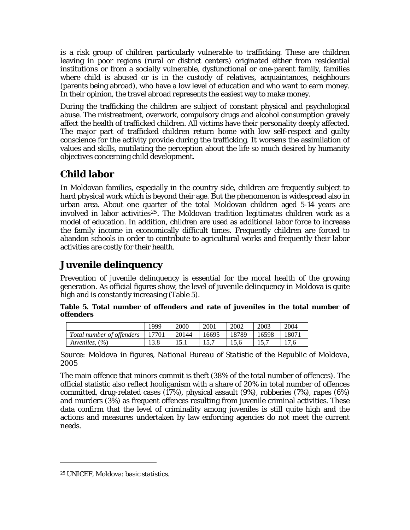<span id="page-21-0"></span>is a risk group of children particularly vulnerable to trafficking. These are children leaving in poor regions (rural or district centers) originated either from residential institutions or from a socially vulnerable, dysfunctional or one-parent family, families where child is abused or is in the custody of relatives, acquaintances, neighbours (parents being abroad), who have a low level of education and who want to earn money. In their opinion, the travel abroad represents the easiest way to make money.

During the trafficking the children are subject of constant physical and psychological abuse. The mistreatment, overwork, compulsory drugs and alcohol consumption gravely affect the health of trafficked children. All victims have their personality deeply affected. The major part of trafficked children return home with low self-respect and guilty conscience for the activity provide during the trafficking. It worsens the assimilation of values and skills, mutilating the perception about the life so much desired by humanity objectives concerning child development.

# **Child labor**

In Moldovan families, especially in the country side, children are frequently subject to hard physical work which is beyond their age. But the phenomenon is widespread also in urban area. About one quarter of the total Moldovan children aged 5-14 years are involved in labor activities<sup>[25](#page-21-1)</sup>. The Moldovan tradition legitimates children work as a model of education. In addition, children are used as additional labor force to increase the family income in economically difficult times. Frequently children are forced to abandon schools in order to contribute to agricultural works and frequently their labor activities are costly for their health.

# **Juvenile delinquency**

Prevention of juvenile delinquency is essential for the moral health of the growing generation. As official figures show, the level of juvenile delinquency in Moldova is quite high and is constantly increasing ([Table 5](#page-21-2)).

<span id="page-21-2"></span>**Table 5. Total number of offenders and rate of juveniles in the total number of offenders** 

|                           | 1999  | 2000  | 2001  | 2002  | 2003  | 2004  |
|---------------------------|-------|-------|-------|-------|-------|-------|
| Total number of offenders | 17701 | 20144 | 16695 | 18789 | 16598 | 18071 |
| Juveniles, (%)            |       |       |       |       |       | 17,6  |

*Source: Moldova in figures, National Bureau of Statistic of the Republic of Moldova, 2005* 

The main offence that minors commit is theft (38% of the total number of offences). The official statistic also reflect hooliganism with a share of 20% in total number of offences committed, drug-related cases (17%), physical assault (9%), robberies (7%), rapes (6%) and murders (3%) as frequent offences resulting from juvenile criminal activities. These data confirm that the level of criminality among juveniles is still quite high and the actions and measures undertaken by law enforcing agencies do not meet the current needs.

 $\overline{a}$ 

<span id="page-21-1"></span><sup>25</sup> UNICEF, Moldova: basic statistics.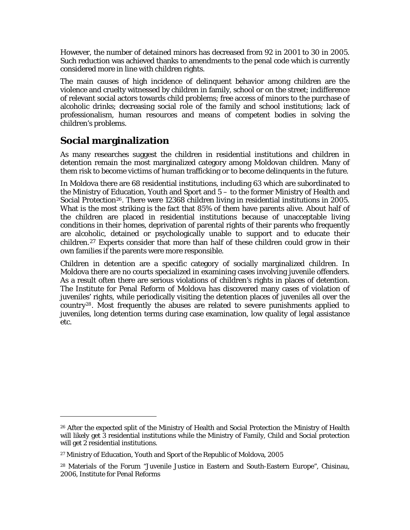<span id="page-22-0"></span>However, the number of detained minors has decreased from 92 in 2001 to 30 in 2005. Such reduction was achieved thanks to amendments to the penal code which is currently considered more in line with children rights.

The main causes of high incidence of delinquent behavior among children are the violence and cruelty witnessed by children in family, school or on the street; indifference of relevant social actors towards child problems; free access of minors to the purchase of alcoholic drinks; decreasing social role of the family and school institutions; lack of professionalism, human resources and means of competent bodies in solving the children's problems.

# **Social marginalization**

 $\overline{a}$ 

As many researches suggest the children in residential institutions and children in detention remain the most marginalized category among Moldovan children. Many of them risk to become victims of human trafficking or to become delinquents in the future.

In Moldova there are 68 residential institutions, including 63 which are subordinated to the Ministry of Education, Youth and Sport and 5 – to the former Ministry of Health and Social Protection<sup>[26](#page-22-1)</sup>. There were 12368 children living in residential institutions in 2005. What is the most striking is the fact that 85% of them have parents alive. About half of the children are placed in residential institutions because of unacceptable living conditions in their homes, deprivation of parental rights of their parents who frequently are alcoholic, detained or psychologically unable to support and to educate their children.[27](#page-22-2) Experts consider that more than half of these children could grow in their own families if the parents were more responsible.

Children in detention are a specific category of socially marginalized children. In Moldova there are no courts specialized in examining cases involving juvenile offenders. As a result often there are serious violations of children's rights in places of detention. The Institute for Penal Reform of Moldova has discovered many cases of violation of juveniles' rights, while periodically visiting the detention places of juveniles all over the country[28](#page-22-3). Most frequently the abuses are related to severe punishments applied to juveniles, long detention terms during case examination, low quality of legal assistance etc.

<span id="page-22-1"></span><sup>&</sup>lt;sup>26</sup> After the expected split of the Ministry of Health and Social Protection the Ministry of Health will likely get 3 residential institutions while the Ministry of Family, Child and Social protection will get 2 residential institutions.

<sup>27</sup> Ministry of Education, Youth and Sport of the Republic of Moldova, 2005

<span id="page-22-3"></span><span id="page-22-2"></span><sup>28</sup> Materials of the Forum "Juvenile Justice in Eastern and South-Eastern Europe", Chisinau, 2006, Institute for Penal Reforms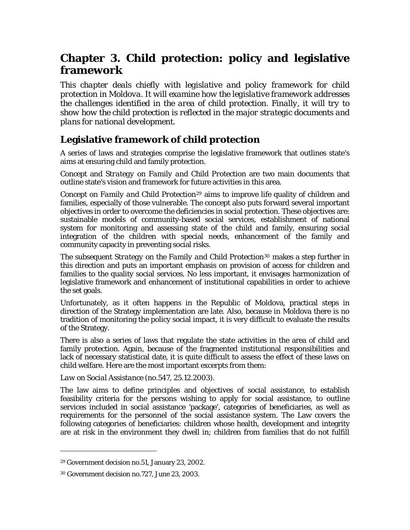# <span id="page-23-0"></span>**Chapter 3. Child protection: policy and legislative framework**

*This chapter deals chiefly with legislative and policy framework for child protection in Moldova. It will examine how the legislative framework addresses the challenges identified in the area of child protection. Finally, it will try to show how the child protection is reflected in the major strategic documents and plans for national development.* 

# **Legislative framework of child protection**

A series of laws and strategies comprise the legislative framework that outlines state's aims at ensuring child and family protection.

*Concept* and *Strategy on Family and Child Protection* are two main documents that outline state's vision and framework for future activities in this area.

*Concept on Family and Child Protection[29](#page-23-1)* aims to improve life quality of children and families, especially of those vulnerable. The concept also puts forward several important objectives in order to overcome the deficiencies in social protection. These objectives are: sustainable models of community-based social services, establishment of national system for monitoring and assessing state of the child and family, ensuring social integration of the children with special needs, enhancement of the family and community capacity in preventing social risks.

The subsequent *Strategy on the Family and Child Protection[30](#page-23-2)* makes a step further in this direction and puts an important emphasis on provision of access for children and families to the quality social services. No less important, it envisages harmonization of legislative framework and enhancement of institutional capabilities in order to achieve the set goals.

Unfortunately, as it often happens in the Republic of Moldova, practical steps in direction of the Strategy implementation are late. Also, because in Moldova there is no tradition of monitoring the policy social impact, it is very difficult to evaluate the results of the Strategy.

There is also a series of laws that regulate the state activities in the area of child and family protection. Again, because of the fragmented institutional responsibilities and lack of necessary statistical date, it is quite difficult to assess the effect of these laws on child welfare. Here are the most important excerpts from them:

*Law on Social Assistance* (no.547, 25.12.2003)*.* 

The law aims to define principles and objectives of social assistance, to establish feasibility criteria for the persons wishing to apply for social assistance, to outline services included in social assistance 'package', categories of beneficiaries, as well as requirements for the personnel of the social assistance system. The Law covers the following categories of beneficiaries: children whose health, development and integrity are at risk in the environment they dwell in; children from families that do not fulfill

 $\overline{a}$ 

<span id="page-23-1"></span><sup>29</sup> Government decision no.51, January 23, 2002.

<span id="page-23-2"></span><sup>30</sup> Government decision no.727, June 23, 2003.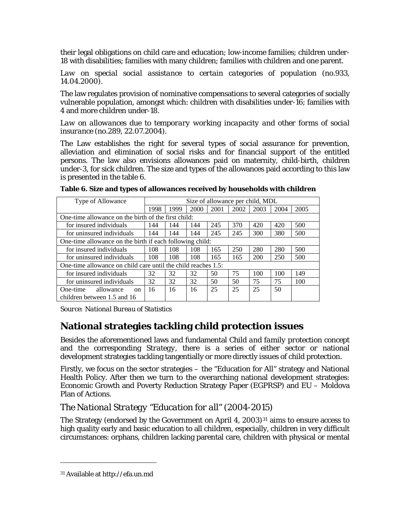<span id="page-24-0"></span>their legal obligations on child care and education; low-income families; children under-18 with disabilities; families with many children; families with children and one parent.

Law on special social assistance to certain categories of population (no.933, 14.04.2000)*.* 

The law regulates provision of nominative compensations to several categories of socially vulnerable population, amongst which: children with disabilities under-16; families with 4 and more children under-18.

*Law on allowances due to temporary working incapacity and other forms of social insurance* (no.289, 22.07.2004)*.* 

The Law establishes the right for several types of social assurance for prevention, alleviation and elimination of social risks and for financial support of the entitled persons. The law also envisions allowances paid on maternity, child-birth, children under-3, for sick children. The size and types of the allowances paid according to this law is presented in the table 6.

| Type of Allowance                                             |      | Size of allowance per child, MDL |      |      |      |      |      |      |
|---------------------------------------------------------------|------|----------------------------------|------|------|------|------|------|------|
|                                                               | 1998 | 1999                             | 2000 | 2001 | 2002 | 2003 | 2004 | 2005 |
| One-time allowance on the birth of the first child:           |      |                                  |      |      |      |      |      |      |
| for insured individuals                                       | 144  | 144                              | 144  | 245  | 370  | 420  | 420  | 500  |
| for uninsured individuals                                     | 144  | 144                              | 144  | 245  | 245  | 300  | 380  | 500  |
| One-time allowance on the birth if each following child:      |      |                                  |      |      |      |      |      |      |
| for insured individuals                                       | 108  | 108                              | 108  | 165  | 250  | 280  | 280  | 500  |
| for uninsured individuals                                     | 108  | 108                              | 108  | 165  | 165  | 200  | 250  | 500  |
| One-time allowance on child care until the child reaches 1.5: |      |                                  |      |      |      |      |      |      |
| for insured individuals                                       | 32   | 32                               | 32   | 50   | 75   | 100  | 100  | 149  |
| for uninsured individuals                                     | 32   | 32                               | 32   | 50   | 50   | 75   | 75   | 100  |
| allowance<br>One-time<br><sub>on</sub>                        | 16   | 16                               | 16   | 25   | 25   | 25   | 50   |      |
| children between 1.5 and 16                                   |      |                                  |      |      |      |      |      |      |

|  | Table 6. Size and types of allowances received by households with children |  |
|--|----------------------------------------------------------------------------|--|
|  |                                                                            |  |

*Source: National Bureau of Statistics* 

### **National strategies tackling child protection issues**

Besides the aforementioned laws and fundamental *Child and family protection concept* and the corresponding *Strategy*, there is a series of either sector or national development strategies tackling tangentially or more directly issues of child protection.

Firstly, we focus on the sector strategies – the "Education for All" strategy and National Health Policy. After then we turn to the overarching national development strategies: Economic Growth and Poverty Reduction Strategy Paper (EGPRSP) and EU – Moldova Plan of Actions.

### *The National Strategy "Education for all" (2004-2015)*

The Strategy (endorsed by the Government on April 4, 2003)<sup>[31](#page-24-1)</sup> aims to ensure access to high quality early and basic education to all children, especially, children in very difficult circumstances: orphans, children lacking parental care, children with physical or mental

<u>.</u>

<span id="page-24-1"></span><sup>31</sup> Available at http://efa.un.md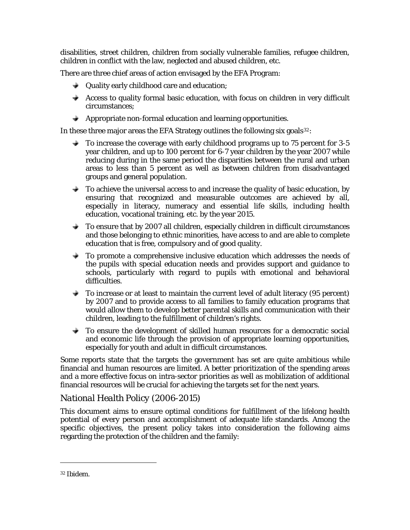<span id="page-25-0"></span>disabilities, street children, children from socially vulnerable families, refugee children, children in conflict with the law, neglected and abused children, etc.

There are three chief areas of action envisaged by the EFA Program:

- **→** Quality early childhood care and education;
- $\triangle$  Access to quality formal basic education, with focus on children in very difficult circumstances;
- $\rightarrow$  Appropriate non-formal education and learning opportunities.

In these three major areas the EFA Strategy outlines the following six goals $32$ :

- To increase the coverage with early childhood programs up to 75 percent for 3-5 year children, and up to 100 percent for 6-7 year children by the year 2007 while reducing during in the same period the disparities between the rural and urban areas to less than 5 percent as well as between children from disadvantaged groups and general population.
- $\rightarrow$  To achieve the universal access to and increase the quality of basic education, by ensuring that recognized and measurable outcomes are achieved by all, especially in literacy, numeracy and essential life skills, including health education, vocational training, etc. by the year 2015.
- To ensure that by 2007 all children, especially children in difficult circumstances  $\rightarrow$ and those belonging to ethnic minorities, have access to and are able to complete education that is free, compulsory and of good quality.
- $\rightarrow$  To promote a comprehensive inclusive education which addresses the needs of the pupils with special education needs and provides support and guidance to schools, particularly with regard to pupils with emotional and behavioral difficulties.
- $\bullet$  To increase or at least to maintain the current level of adult literacy (95 percent) by 2007 and to provide access to all families to family education programs that would allow them to develop better parental skills and communication with their children, leading to the fulfillment of children's rights.
- $\rightarrow$  To ensure the development of skilled human resources for a democratic social and economic life through the provision of appropriate learning opportunities, especially for youth and adult in difficult circumstances.

Some reports state that the targets the government has set are quite ambitious while financial and human resources are limited. A better prioritization of the spending areas and a more effective focus on intra-sector priorities as well as mobilization of additional financial resources will be crucial for achieving the targets set for the next years.

### *National Health Policy (2006-2015)*

This document aims to ensure optimal conditions for fulfillment of the lifelong health potential of every person and accomplishment of adequate life standards. Among the specific objectives, the present policy takes into consideration the following aims regarding the protection of the children and the family:

 $\overline{a}$ 

<span id="page-25-1"></span><sup>32</sup> Ibidem.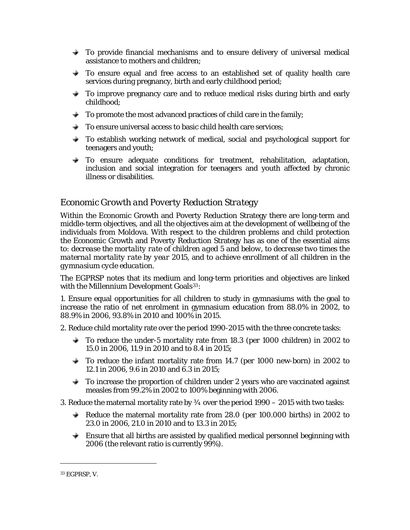- <span id="page-26-0"></span> $\rightarrow$  To provide financial mechanisms and to ensure delivery of universal medical assistance to mothers and children;
- To ensure equal and free access to an established set of quality health care services during pregnancy, birth and early childhood period;
- To improve pregnancy care and to reduce medical risks during birth and early childhood;
- $\rightarrow$  To promote the most advanced practices of child care in the family;
- $\triangleq$  To ensure universal access to basic child health care services;
- To establish working network of medical, social and psychological support for teenagers and youth;
- $\rightarrow$  To ensure adequate conditions for treatment, rehabilitation, adaptation, inclusion and social integration for teenagers and youth affected by chronic illness or disabilities.

### *Economic Growth and Poverty Reduction Strategy*

Within the Economic Growth and Poverty Reduction Strategy there are long-term and middle-term objectives, and all the objectives aim at the development of wellbeing of the individuals from Moldova. With respect to the children problems and child protection the Economic Growth and Poverty Reduction Strategy has as one of the essential aims to: *decrease the mortality rate of children aged 5 and below*, *to decrease two times the maternal mortality rate by year 2015*, and *to achieve enrollment of all children in the gymnasium cycle education*.

The EGPRSP notes that its medium and long-term priorities and objectives are linked with the Millennium Development Goals<sup>[33](#page-26-1)</sup>:

1. Ensure equal opportunities for all children to study in gymnasiums with the goal to increase the ratio of net enrolment in gymnasium education from 88.0% in 2002, to 88.9% in 2006, 93.8% in 2010 and 100% in 2015.

2. Reduce child mortality rate over the period 1990-2015 with the three concrete tasks:

- To reduce the under-5 mortality rate from 18.3 (per 1000 children) in 2002 to 15.0 in 2006, 11.9 in 2010 and to 8.4 in 2015;
- $\rightarrow$  To reduce the infant mortality rate from 14.7 (per 1000 new-born) in 2002 to 12.1 in 2006, 9.6 in 2010 and 6.3 in 2015;
- $\bigstar$  To increase the proportion of children under 2 years who are vaccinated against measles from 99.2% in 2002 to 100% beginning with 2006.

3. Reduce the maternal mortality rate by  $\frac{3}{4}$  over the period  $1990 - 2015$  with two tasks:

- Reduce the maternal mortality rate from  $28.0$  (per 100.000 births) in 2002 to 23.0 in 2006, 21.0 in 2010 and to 13.3 in 2015;
- Ensure that all births are assisted by qualified medical personnel beginning with 2006 (the relevant ratio is currently 99%).

 $\overline{a}$ 

<span id="page-26-1"></span><sup>33</sup> EGPRSP, V.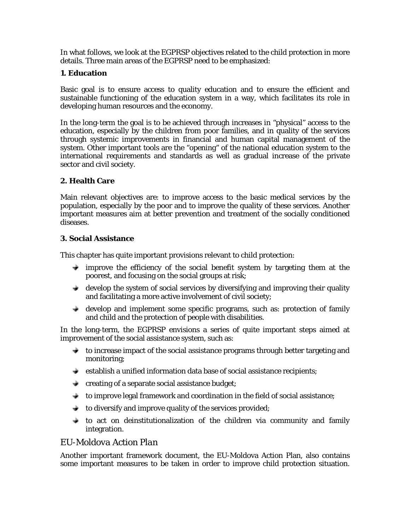<span id="page-27-0"></span>In what follows, we look at the EGPRSP objectives related to the child protection in more details. Three main areas of the EGPRSP need to be emphasized:

#### **1. Education**

Basic goal is to ensure access to quality education and to ensure the efficient and sustainable functioning of the education system in a way, which facilitates its role in developing human resources and the economy.

education, especially by the children from poor families, and in quality of the services In the long-term the goal is to be achieved through increases in "physical" access to the through systemic improvements in financial and human capital management of the system. Other important tools are the "opening" of the national education system to the international requirements and standards as well as gradual increase of the private sector and civil society.

#### **2. Health Care**

Main relevant objectives are: to improve access to the basic medical services by the population, especially by the poor and to improve the quality of these services. Another important measures aim at better prevention and treatment of the socially conditioned diseases.

#### **3. Social Assistance**

This chapter has quite important provisions relevant to child protection:

- $\rightarrow$  improve the efficiency of the social benefit system by targeting them at the poorest, and focusing on the social groups at risk;
- $\rightarrow$  develop the system of social services by diversifying and improving their quality and facilitating a more active involvement of civil society;
- develop and implement some specific programs, such as: protection of family and child and the protection of people with disabilities.

In the long-term, the EGPRSP envisions a series of quite important steps aimed at improvement of the social assistance system, such as:

- $\bullet$  to increase impact of the social assistance programs through better targeting and monitoring;
- $\bullet$  establish a unified information data base of social assistance recipients;
- $\bullet$  creating of a separate social assistance budget;
- to improve legal framework and coordination in the field of social assistance;
- $\bullet$  to diversify and improve quality of the services provided;
- $\bullet$  to act on deinstitutionalization of the children via community and family integration.

### *EU-Moldova Action Plan*

Another important framework document, the EU-Moldova Action Plan, also contains some important measures to be taken in order to improve child protection situation.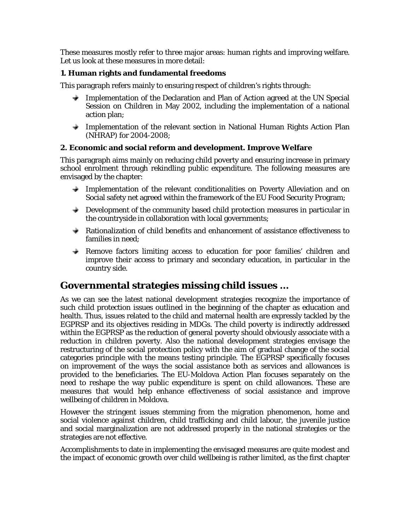<span id="page-28-0"></span>These measures mostly refer to three major areas: human rights and improving welfare. Let us look at these measures in more detail:

#### **1. Human rights and fundamental freedoms**

This paragraph refers mainly to ensuring respect of children's rights through:

- ÷ Implementation of the Declaration and Plan of Action agreed at the UN Special Session on Children in May 2002, includin g the implementation of a national action plan;
- Implementation of the relevant section in National Human Rights Action Plan (NHRAP) for 2004-2008;

#### **2. Economic and social reform and development. Improve Welfare**

This paragraph aims mainly on reducing child poverty and ensuring increase in primary school enrolment through rekindling public expenditure. The following measures are envisaged by the chapter:

- $\rightarrow$  Implementation of the relevant conditionalities on Poverty Alleviation and on Social safety net agreed within the framework of the EU Food Security Program;
- $\rightarrow$  Development of the community based child protection measures in particular in the countryside in collaboration with local governments;
- Rationalization of child benefits and enhancement of assistance effectiveness to families in need;
- Remove factors limiting access to education for poor families' children and improve their access to primary and secondary education, in particular in the country side.

### Governmental strategies missing child issues ...

As we can see the latest national development strategies recognize the importance of such child protection issues outlined in the beginning of the chapter as education and health. Thus, issues related to the child and maternal health are expressly tackled by the EGPRSP and its objectives residing in MDGs. The child poverty is indirectly addressed within the EGPRSP as the reduction of general poverty should obviously associate with a reduction in children poverty. Also the national development strategies envisage the restructuring of the social protection policy with the aim of gradual change of the social categories principle with the means testing principle. The EGPRSP specifically focuses on improvement of the ways the social assistance both as services and allowances is provided to the beneficiaries. The EU-Moldova Action Plan focuses separately on the need to reshape the way public expenditure is spent on child allowances. These are measures that would help enhance effectiveness of social assistance and improve wellbeing of children in Moldova.

However the stringent issues stemming from the migration phenomenon, home and social violence against children, child trafficking and child labour, the juvenile justice and social marginalization are not addressed properly in the national strategies or the strategies are not effective.

Accomplishments to date in implementing the envisaged measures are quite modest and the impact of economic growth over child wellbeing is rather limited, as the first chapter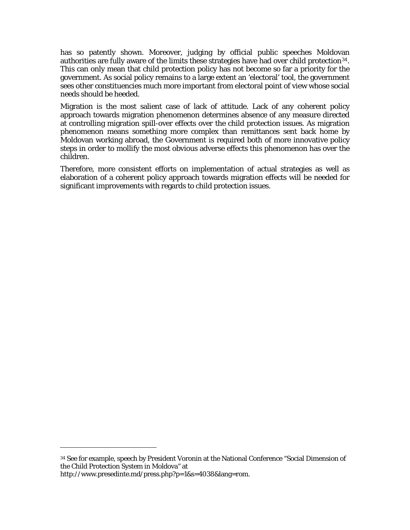has so patently shown. Moreover, judging by official public speeches Moldovan authorities are fully aware of the limits these strategies have had over child protection<sup>34</sup>. This can only mean that child protection policy has not become so far a priority for the government. As social policy remains to a large extent an 'electoral' tool, the government sees other constituencies much more important from electoral point of view whose social needs should be heeded.

Migration is the most salient case of lack of attitude. Lack of any coherent policy approach towards migration phenomenon determines absence of any measure directed at controlling migration spill-over effects over the child protection issues. As migration phenomenon means something more complex than remittances sent back home by Moldovan working abroad, the Government is required both of more innovative policy steps in order to mollify the most obvious adverse effects this phenomenon has over the children.

elaboration of a coherent policy approach towards migration effects will be needed for Therefore, more consistent efforts on implementation of actual strategies as well as significant improvements with regards to child protection issues.

<u>.</u>

<span id="page-29-0"></span><sup>34</sup> See for example, speech by President Voronin at the National Conference "Social Dimension of the Child Protection System in Moldova" at http://www.presedinte.md/press.php?p=1&s=4038&lang=rom.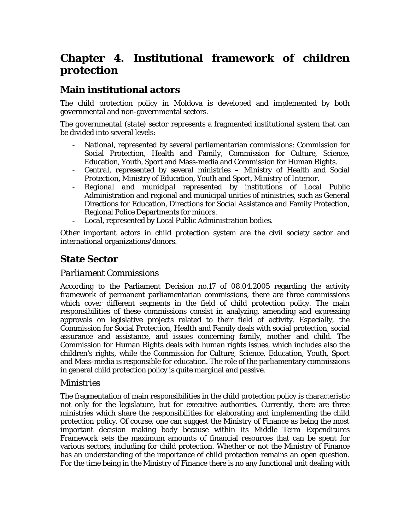# <span id="page-30-0"></span>**Chapter 4. Institutional framework of children protection**

### **Main institutional actors**

The child protection policy in Moldova is developed and implemented by both governmental and non-governmental sectors.

The *governmental (state) sector* represents a fragmented institutional system that can be divided into several levels:

- *National*, represented by several parliamentarian commissions: Commission for Social Protection, Health and Family, Commission for Culture, Science, Education, Youth, Sport and Mass-media and Commission for Human Rights.
- *Central*, represented by several ministries Ministry of Health and Social Protection, Ministry of Education, Youth and Sport, Ministry of Interior.
- *Regional and municipal* represented by institutions of Local Public Administration and regional and municipal unities of ministries, such as General Directions for Education, Directions for Social Assistance and Family Protection, Regional Police Departments for minors.
- Local, represented by Local Public Administration bodies.

Other important actors in child protection system are the civil society sector and international organizations/donors.

### **State Sector**

#### *Parliament Commissions*

According to the Parliament Decision no.17 of 08.04.2005 regarding the activity framework of permanent parliamentarian commissions, there are three commissions which cover different segments in the field of child protection policy. The main responsibilities of these commissions consist in analyzing, amending and expressing approvals on legislative projects related to their field of activity. Especially, the Commission for Social Protection, Health and Family deals with social protection, social assurance and assistance, and issues concerning family, mother and child. The Commission for Human Rights deals with human rights issues, which includes also the children's rights, while the Commission for Culture, Science, Education, Youth, Sport and Mass-media is responsible for education. The role of the parliamentary commissions in general child protection policy is quite marginal and passive.

#### *Ministries*

The fragmentation of main responsibilities in the child protection policy is characteristic not only for the legislature, but for executive authorities. Currently, there are three ministries which share the responsibilities for elaborating and implementing the child protection policy. Of course, one can suggest the Ministry of Finance as being the most important decision making body because within its Middle Term Expenditures Framework sets the maximum amounts of financial resources that can be spent for various sectors, including for child protection. Whether or not the Ministry of Finance has an understanding of the importance of child protection remains an open question. For the time being in the Ministry of Finance there is no any functional unit dealing with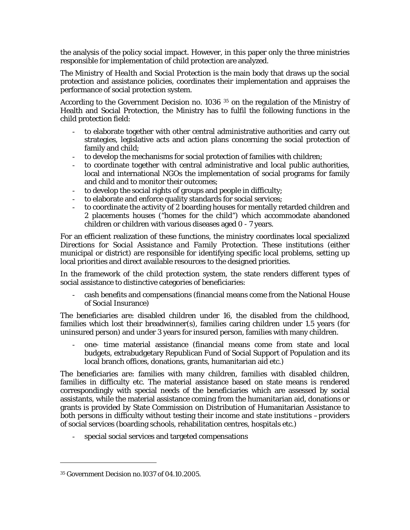the analysis of the policy social impact. However, in this paper only the three ministries responsible for implementation of child protection are analyzed.

The *Ministry of Health and Social Protection* is the main body that draws up the social protection and assistance policies, coordinates their implementation and appraises the performance of social protection system.

According to the Government Decision no. 1036 <sup>[35](#page-31-0)</sup> on the regulation of the Ministry of Health and Social Protection, the Ministry has to fulfil the following functions in the child protection field:

- to elaborate together with other central administrative authorities and carry out strategies, legislative acts and action plans concerning the social protection of family and child;
- to develop the mechanisms for social protection of families with children;
- to coordinate together with central administrative and local public authorities, local and international NGOs the implementation of social programs for family and child and to monitor their outcomes;
- to develop the social rights of groups and people in difficulty;
- to elaborate and enforce quality standards for social services;
- to coordinate the activity of 2 boarding houses for mentally retarded children and 2 placements houses ("homes for the child") which accommodate abandoned children or children with various diseases aged 0 - 7 years.

For an efficient realization of these functions, the ministry coordinates local specialized *Directions for Social Assistance and Family Protection*. These institutions (either municipal or district) are responsible for identifying specific local problems, setting up local priorities and direct available resources to the designed priorities.

In the framework of the child protection system, the state renders different types of social assistance to distinctive categories of beneficiaries:

- cash benefits and compensations (financial means come from the National House of Social Insurance)

The beneficiaries are: disabled children under 16, the disabled from the childhood, families which lost their breadwinner(s), families caring children under 1.5 years (for uninsured person) and under 3 years for insured person, families with many children.

- one- time material assistance (financial means come from state and local budgets, extrabudgetary Republican Fund of Social Support of Population and its local branch offices, donations, grants, humanitarian aid etc.)

The beneficiaries are: families with many children, families with disabled children, families in difficulty etc. The material assistance based on state means is rendered correspondingly with special needs of the beneficiaries which are assessed by social assistants, while the material assistance coming from the humanitarian aid, donations or grants is provided by State Commission on Distribution of Humanitarian Assistance to both persons in difficulty without testing their income and state institutions –providers of social services (boarding schools, rehabilitation centres, hospitals etc.)

special social services and targeted compensations

<u>.</u>

<span id="page-31-0"></span><sup>35</sup> Government Decision no.1037 of 04.10.2005.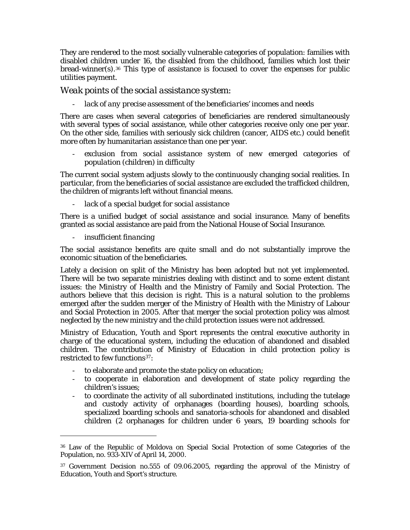They are rendered to the most socially vulnerable categories of population: families with disabled children under 16, the disabled from the childhood, families which lost their bread-winner(s).[36](#page-32-0) This type of assistance is focused to cover the expenses for public utilities payment.

#### *Weak points of the social assistance system:*

#### - *lack of any precise assessment of the beneficiaries' incomes and needs*

There are cases when several categories of beneficiaries are rendered simultaneously with several types of social assistance, while other categories receive only one per year. On the other side, families with seriously sick children (cancer, AIDS etc.) could benefit more often by humanitarian assistance than one per year.

exclusion from social assistance system of new emerged categories of *population (children) in difficulty* 

The current social system adjusts slowly to the continuously changing social realities. In particular, from the beneficiaries of social assistance are excluded the trafficked children, the children of migrants left without financial means.

lack of a special budget for social assistance

There is a unified budget of social assistance and social insurance. Many of benefits granted as social assistance are paid from the National House of Social Insurance.

- *insufficient financing* 

1

The social assistance benefits are quite small and do not substantially improve the economic situation of the beneficiaries.

Lately a decision on split of the Ministry has been adopted but not yet implemented. There will be two separate ministries dealing with distinct and to some extent distant issues: the Ministry of Health and the Ministry of Family and Social Protection. The authors believe that this decision is right. This is a natural solution to the problems emerged after the sudden merger of the Ministry of Health with the Ministry of Labour and Social Protection in 2005. After that merger the social protection policy was almost neglected by the new ministry and the child protection issues were not addressed.

*Ministry of Education, Youth and Sport* represents the central executive authority in charge of the educational system, including the education of abandoned and disabled children. The contribution of Ministry of Education in child protection policy is restricted to few functions<sup>[37](#page-32-1)</sup>:

- to elaborate and promote the state policy on education;
- to cooperate in elaboration and development of state policy regarding the children's issues;
- to coordinate the activity of all subordinated institutions, including the tutelage and custody activity of orphanages (boarding houses), boarding schools, specialized boarding schools and sanatoria-schools for abandoned and disabled children (2 orphanages for children under 6 years, 19 boarding schools for

<span id="page-32-0"></span><sup>36</sup> Law of the Republic of Moldova on Special Social Protection of some Categories of the Population, no. 933-XIV of April 14, 2000.

<span id="page-32-1"></span><sup>37</sup> Government Decision no.555 of 09.06.2005, regarding the approval of the Ministry of Education, Youth and Sport's structure.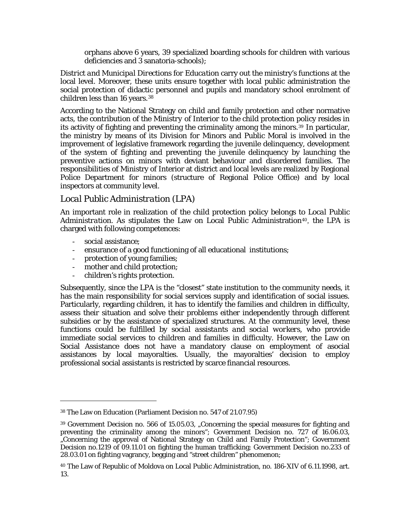orphans above 6 years, 39 specialized boarding schools for children with various deficiencies and 3 sanatoria-schools);

<span id="page-33-0"></span>*District and Municipal Directions for Education* carry out the ministry's functions at the local level. Moreover, these units ensure together with local public administration the social protection of didactic personnel and pupils and mandatory school enrolment of children less than 16 years.<sup>[38](#page-33-1)</sup>

According to the National Strategy on child and family protection and other normative acts, the contribution of the *Ministry of Interior* to the child protection policy resides in its activity of fighting and preventing the criminality among the minors.[39](#page-33-2) In particular, the ministry by means of its Division for Minors and Public Moral is involved in the improvement of legislative framework regarding the juvenile delinquency, development of the system of fighting and preventing the juvenile delinquency by launching the preventive actions on minors with deviant behaviour and disordered families. The responsibilities of Ministry of Interior at district and local levels are realized by Regional Police Department for minors (structure of Regional Police Office) and by local inspectors at community level.

#### *Local Public Administration (LPA)*

An important role in realization of the child protection policy belongs to *Local Public*  Administration. As stipulates the Law on Local Public Administration<sup>[40](#page-33-3)</sup>, the LPA is charged with following competences:

- social assistance;

 $\overline{a}$ 

- ensurance of a good functioning of all educational institutions;
- protection of young families;
- mother and child protection;
- children's rights protection.

Subsequently, since the LPA is the "closest" state institution to the community needs, it has the main responsibility for social services supply and identification of social issues. Particularly, regarding children, it has to identify the families and children in difficulty, assess their situation and solve their problems either independently through different subsidies or by the assistance of specialized structures. At the community level, these functions could be fulfilled by *social assistants and social workers,* who provide immediate social services to children and families in difficulty. However, the Law on Social Assistance does not have a mandatory clause on employment of asocial assistances by local mayoralties. Usually, the mayoralties' decision to employ professional social assistants is restricted by scarce financial resources.

<sup>38</sup> The Law on Education (Parliament Decision no. 547 of 21.07.95)

<span id="page-33-2"></span><span id="page-33-1"></span><sup>&</sup>lt;sup>39</sup> Government Decision no. 566 of 15.05.03, "Concerning the special measures for fighting and preventing the criminality among the minors"; Government Decision no. 727 of 16.06.03, "Concerning the approval of National Strategy on Child and Family Protection"; Government Decision no.1219 of 09.11.01 on fighting the human trafficking; Government Decision no.233 of 28.03.01 on fighting vagrancy, begging and "street children" phenomenon;

<span id="page-33-3"></span><sup>40</sup> The Law of Republic of Moldova on Local Public Administration, no. 186-XIV of 6.11.1998, art. 13.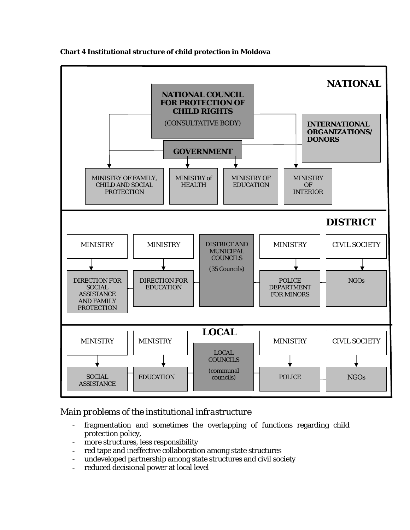<span id="page-34-0"></span>

#### **Chart 4 Institutional structure of child protection in Moldova**

### *Main problems of the institutional infrastructure*

- fragmentation and sometimes the overlapping of functions regarding child protection policy,
- more structures, less responsibility
- red tape and ineffective collaboration among state structures
- undeveloped partnership among state structures and civil society
- reduced decisional power at local level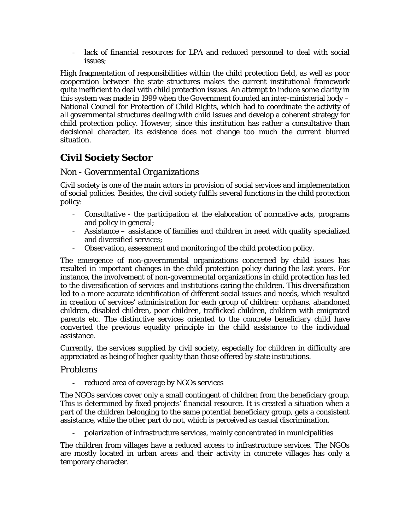<span id="page-35-0"></span>- lack of financial resources for LPA and reduced personnel to deal with social issues;

High fragmentation of responsibilities within the child protection field, as well as poor cooperation between the state structures makes the current institutional framework quite inefficient to deal with child protection issues. An attempt to induce some clarity in this system was made in 1999 when the Government founded an inter-ministerial body – National Council for Protection of Child Rights, which had to coordinate the activity of all governmental structures dealing with child issues and develop a coherent strategy for child protection policy. However, since this institution has rather a consultative than decisional character, its existence does not change too much the current blurred situation.

### **Civil Society Sector**

### *Non - Governmental Organizations*

Civil society is one of the main actors in provision of social services and implementation of social policies. Besides, the civil society fulfils several functions in the child protection policy:

- Consultative the participation at the elaboration of normative acts, programs and policy in general;
- Assistance assistance of families and children in need with quality specialized and diversified services;
- Observation, assessment and monitoring of the child protection policy.

The emergence of non-governmental organizations concerned by child issues has resulted in important changes in the child protection policy during the last years. For instance, the involvement of non-governmental organizations in child protection has led to the diversification of services and institutions caring the children. This diversification led to a more accurate identification of different social issues and needs, which resulted in creation of services' administration for each group of children: orphans, abandoned children, disabled children, poor children, trafficked children, children with emigrated parents etc. The distinctive services oriented to the concrete beneficiary child have converted the previous equality principle in the child assistance to the individual assistance.

Currently, the services supplied by civil society, especially for children in difficulty are appreciated as being of higher quality than those offered by state institutions.

#### *Problems*

- reduced area of coverage by NGOs services

The NGOs services cover only a small contingent of children from the beneficiary group. This is determined by fixed projects' financial resource. It is created a situation when a part of the children belonging to the same potential beneficiary group, gets a consistent assistance, while the other part do not, which is perceived as casual discrimination.

- polarization of infrastructure services, mainly concentrated in municipalities

The children from villages have a reduced access to infrastructure services. The NGOs are mostly located in urban areas and their activity in concrete villages has only a temporary character.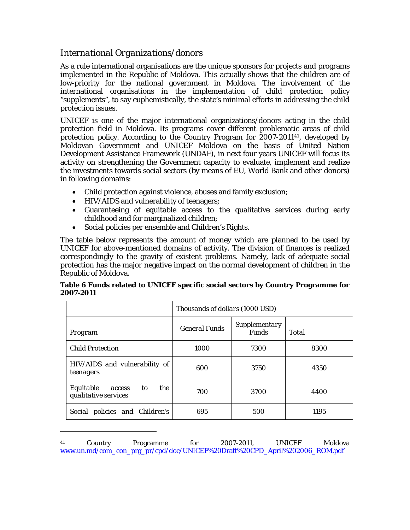### <span id="page-36-0"></span>*International Organizations/donors*

As a rule international organisations are the unique sponsors for projects and programs implemented in the Republic of Moldova. This actually shows that the children are of low-priority for the national government in Moldova. The involvement of the international organisations in the implementation of child protection policy "supplements", to say euphemistically, the state's minimal efforts in addressing the child protection issues.

UNICEF is one of the major international organizations/donors acting in the child protection field in Moldova. Its programs cover different problematic areas of child protection policy. According to the Country Program for 2007-2011[41](#page-36-1), developed by Moldovan Government and UNICEF Moldova on the basis of United Nation Development Assistance Framework (UNDAF), in next four years UNICEF will focus its activity on strengthening the Government capacity to evaluate, implement and realize the investments towards social sectors (by means of EU, World Bank and other donors) in following domains:

- Child protection against violence, abuses and family exclusion;
- HIV/AIDS and vulnerability of teenagers;

l

- Guaranteeing of equitable access to the qualitative services during early childhood and for marginalized children;
- Social policies per ensemble and Children's Rights.

The table below represents the amount of money which are planned to be used by UNICEF for above-mentioned domains of activity. The division of finances is realized correspondingly to the gravity of existent problems. Namely, lack of adequate social protection has the major negative impact on the normal development of children in the Republic of Moldova.

#### **Table 6 Funds related to UNICEF specific social sectors by Country Programme for 2007-2011**

|                                                          | Thousands of dollars (1000 USD) |                                      |              |  |  |  |  |
|----------------------------------------------------------|---------------------------------|--------------------------------------|--------------|--|--|--|--|
| Program                                                  | <b>General Funds</b>            | <i>Supplementary</i><br><b>Funds</b> | <b>Total</b> |  |  |  |  |
| <b>Child Protection</b>                                  | 1000                            | 7300                                 | 8300         |  |  |  |  |
| HIV/AIDS and vulnerability of<br>teenagers               | 600                             | 3750                                 | 4350         |  |  |  |  |
| the<br>Equitable<br>to<br>access<br>qualitative services | 700                             | 3700                                 | 4400         |  |  |  |  |
| Social policies and Children's                           | 695                             | 500                                  | 1195         |  |  |  |  |

<span id="page-36-1"></span><sup>41</sup> Country Programme for 2007-2011, UNICEF Moldova [www.un.md/com\\_con\\_prg\\_pr/cpd/doc/UNICEF%20Draft%20CPD\\_April%202006\\_ROM.pdf](http://www.un.md/com_con_prg_pr/cpd/doc/UNICEF%20Draft%20CPD_April%202006_ROM.pdf)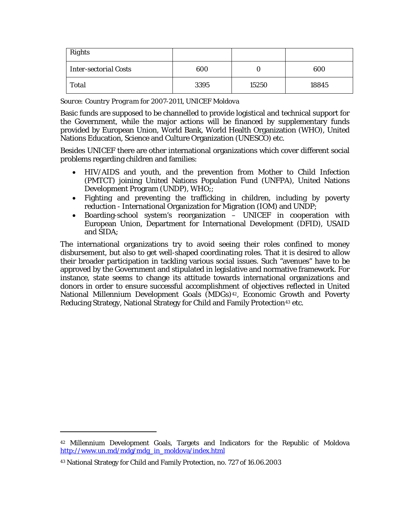| <b>Rights</b>                |      |       |       |
|------------------------------|------|-------|-------|
| <b>Inter-sectorial Costs</b> | 600  |       | 600   |
| <b>Total</b>                 | 3395 | 15250 | 18845 |

*Source: Country Program for 2007-2011, UNICEF Moldova* 

Basic funds are supposed to be channelled to provide logistical and technical support for the Government, while the major actions will be financed by supplementary funds provided by European Union, World Bank, World Health Organization (WHO), United Nations Education, Science and Culture Organization (UNESCO) etc.

Besides UNICEF there are other international organizations which cover different social problems regarding children and families:

- HIV/AIDS and youth, and the prevention from Mother to Child Infection (PMTCT) joining United Nations Population Fund (UNFPA), United Nations Development Program (UNDP), WHO;;
- Fighting and preventing the trafficking in children, including by poverty reduction - International Organization for Migration (IOM) and UNDP;
- Boarding-school system's reorganization UNICEF in cooperation with European Union, Department for International Development (DFID), USAID and SIDA;

The international organizations try to avoid seeing their roles confined to money disbursement, but also to get well-shaped coordinating roles. That it is desired to allow their broader participation in tackling various social issues. Such "avenues" have to be approved by the Government and stipulated in legislative and normative framework. For instance, state seems to change its attitude towards international organizations and donors in order to ensure successful accomplishment of objectives reflected in United National Millennium Development Goals (MDGs)<sup>[42](#page-37-0)</sup>, Economic Growth and Poverty Reducing Strategy, National Strategy for Child and Family Protection<sup>[43](#page-37-1)</sup> etc.

1

<span id="page-37-0"></span><sup>42</sup> Millennium Development Goals, Targets and Indicators for the Republic of Moldova [http://www.un.md/mdg/mdg\\_in\\_moldova/index.html](http://www.un.md/mdg/mdg_in_moldova/index.html)

<span id="page-37-1"></span><sup>43</sup> National Strategy for Child and Family Protection, no. 727 of 16.06.2003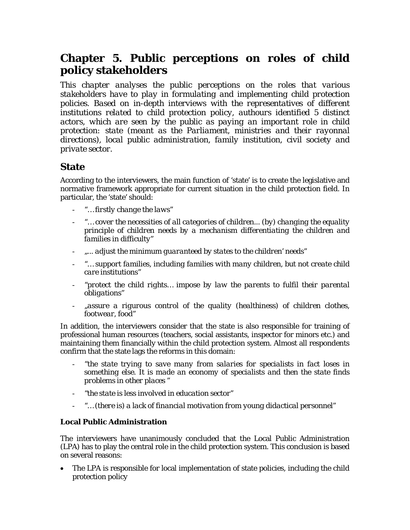# <span id="page-38-0"></span>**Chapter 5. Public perceptions on roles of child policy stakeholders**

*This chapter analyses the public perceptions on the roles that various stakeholders have to play in formulating and implementing child protection policies. Based on in-depth interviews with the representatives of different institutions related to child protection policy, authours identified 5 distinct actors, which are seen by the public as paying an important role in child protection: state (meant as the Parliament, ministries and their rayonnal directions), local public administration, family institution, civil society and private sector.* 

### **State**

According to the interviewers, the main function of 'state' is to create the legislative and normative framework appropriate for current situation in the child protection field. In particular, the 'state' should:

- "… *firstly change the laws*"
- "… *cover the necessities of all categories of children... (by) changing the equality principle of children needs by a mechanism differentiating the children and families in difficulty*"
- *"... adjust the minimum guaranteed by states to the children' needs"*
- *"… support families, including families with many children, but not create child care institutions*"
- "*protect the child rights… impose by law the parents to fulfil their parental obligations"*
- "*assure a rigurous control of the quality (healthiness) of children clothes, footwear, food"*

In addition, the interviewers consider that the state is also responsible for training of professional human resources (teachers, social assistants, inspector for minors etc.) and maintaining them financially within the child protection system. Almost all respondents confirm that the state lags the reforms in this domain:

- "*the state trying to save many from salaries for specialists in fact loses in something else. It is made an economy of specialists and then the state finds problems in other places "*
- *"the state is less involved in education sector"*
- *"… (there is) a lack of financial motivation from young didactical personnel"*

#### **Local Public Administration**

The interviewers have unanimously concluded that the Local Public Administration (LPA) has to play the central role in the child protection system. This conclusion is based on several reasons:

• The LPA is responsible for local implementation of state policies, including the child protection policy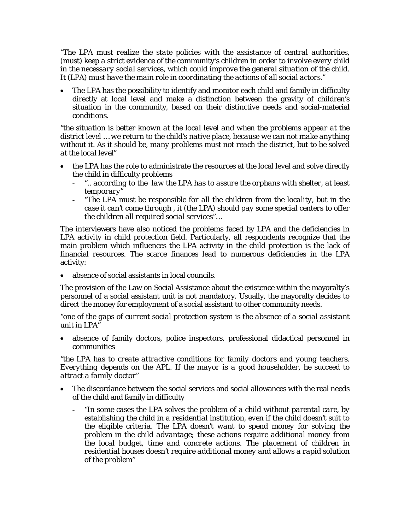*"The LPA must realize the state policies with the assistance of central authorities,*  (must) *keep a strict evidence of the community's children in order to involve every child in the necessary social services, which could improve the general situation of the child. It* (LPA) *must have the main role in coordinating the actions of all social actors."* 

• The LPA has the possibility to identify and monitor each child and family in difficulty directly at local level and make a distinction between the gravity of children's situation in the community, based on their distinctive needs and social-material conditions.

*"the situation is better known at the local level and when the problems appear at the district level … we return to the child's native place, because we can not make anything without it. As it should be, many problems must not reach the district, but to be solved at the local level*"

- the LPA has the role to administrate the resources at the local level and solve directly the child in difficulty problems
	- ".. according to the law the LPA has to assure the orphans with shelter, at least *temporary"*
	- "*The LPA must be responsible for all the children from the locality, but in the case it can't come through , it (the LPA) should pay some special centers to offer the children all required social services*"…

The interviewers have also noticed the problems faced by LPA and the deficiencies in LPA activity in child protection field. Particularly, all respondents recognize that the main problem which influences the LPA activity in the child protection is the lack of financial resources. The scarce finances lead to numerous deficiencies in the LPA activity:

absence of social assistants in local councils.

The provision of the Law on Social Assistance about the existence within the mayoralty's personnel of a social assistant unit is not mandatory. Usually, the mayoralty decides to direct the money for employment of a social assistant to other community needs.

*"one of the gaps of current social protection system is the absence of a social assistant unit in LPA"* 

• absence of family doctors, police inspectors, professional didactical personnel in communities

*"the LPA has to create attractive conditions for family doctors and young teachers. Everything depends on the APL. If the mayor is a good householder, he succeed to attract a family doctor"* 

- The discordance between the social services and social allowances with the real needs of the child and family in difficulty
	- *"In some cases the LPA solves the problem of a child without parental care, by establishing the child in a residential institution, even if the child doesn't suit to the eligible criteria. The LPA doesn't want to spend money for solving the problem in the child advantage; these actions require additional money from the local budget, time and concrete actions. The placement of children in residential houses doesn't require additional money and allows a rapid solution of the problem"*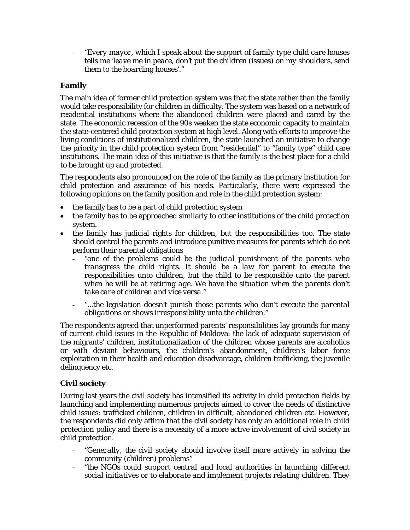<span id="page-40-0"></span>- *"Every mayor, which I speak about the support of family type child care houses tells me 'leave me in peace, don't put the children* (issues) *on my shoulders, send them to the boarding houses'."* 

#### **Family**

The main idea of former child protection system was that the state rather than the family would take responsibility for children in difficulty. The system was based on a network of residential institutions where the abandoned children were placed and cared by the state. The economic recession of the 90s weaken the state economic capacity to maintain the state-centered child protection system at high level. Along with efforts to improve the living conditions of institutionalized children, the state launched an initiative to change the priority in the child protection system from "residential" to "family type" child care institutions. The main idea of this initiative is that the family is the best place for a child to be brought up and protected.

The respondents also pronounced on the role of the family as the primary institution for child protection and assurance of his needs. Particularly, there were expressed the following opinions on the family position and role in the child protection system:

- the family has to be a part of child protection system
- the family has to be approached similarly to other institutions of the child protection system.
- the family has judicial rights for children, but the responsibilities too. The state should control the parents and introduce punitive measures for parents which do not perform their parental obligations
	- *"one of the problems could be the judicial punishment of the parents who transgress the child rights. It should be a law for parent to execute the responsibilities unto children, but the child to be responsible unto the parent when he will be at retiring age. We have the situation when the parents don't take care of children and vice versa."*
	- *"...the legislation doesn't punish those parents who don't execute the parental obligations or shows irresponsibility unto the children."*

The respondents agreed that unperformed parents' responsibilities lay grounds for many of current child issues in the Republic of Moldova: the lack of adequate supervision of the migrants' children, institutionalization of the children whose parents are alcoholics or with deviant behaviours, the children's abandonment, children's labor force exploitation in their health and education disadvantage, children trafficking, the juvenile delinquency etc.

#### **Civil society**

During last years the civil society has intensified its activity in child protection fields by launching and implementing numerous projects aimed to cover the needs of distinctive child issues: trafficked children, children in difficult, abandoned children etc. However, the respondents did only affirm that the civil society has only an additional role in child protection policy and there is a necessity of a more active involvement of civil society in child protection.

- *"Generally, the civil society should involve itself more actively in solving the community (children) problems"*
- *"the NGOs could support central and local authorities in launching different social initiatives or to elaborate and implement projects relating children. They*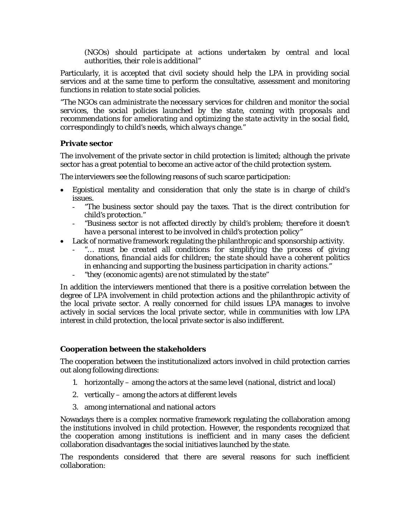*(NGOs) should participate at actions undertaken by central and local authorities, their role is additional"* 

<span id="page-41-0"></span>Particularly, it is accepted that civil society should help the LPA in providing social services and at the same time to perform the consultative, assessment and monitoring functions in relation to state social policies.

"*The NGOs can administrate the necessary services for children and monitor the social services, the social policies launched by the state, coming with proposals and recommendations for ameliorating and optimizing the state activity in the social field, correspondingly to child's needs, which always change."* 

#### **Private sector**

The involvement of the private sector in child protection is limited; although the private sector has a great potential to become an active actor of the child protection system.

The interviewers see the following reasons of such scarce participation:

- Egoistical mentality and consideration that only the state is in charge of child's issues.
	- *"The business sector should pay the taxes. That is the direct contribution for child's protection."*
	- *"Business sector is not affected directly by child's problem; therefore it doesn't have a personal interest to be involved in child's protection policy"*
- Lack of normative framework regulating the philanthropic and sponsorship activity.
	- "... must be created all conditions for simplifying the process of giving *donations, financial aids for children; the state should have a coherent politics in enhancing and supporting the business participation in charity actions."*
	- *"they (economic agents) are not stimulated by the state"*

In addition the interviewers mentioned that there is a positive correlation between the degree of LPA involvement in child protection actions and the philanthropic activity of the local private sector. A really concerned for child issues LPA manages to involve actively in social services the local private sector, while in communities with low LPA interest in child protection, the local private sector is also indifferent.

#### **Cooperation between the stakeholders**

The cooperation between the institutionalized actors involved in child protection carries out along following directions:

- 1. horizontally among the actors at the same level (national, district and local)
- 2. vertically among the actors at different levels
- 3. among international and national actors

Nowadays there is a complex normative framework regulating the collaboration among the institutions involved in child protection. However, the respondents recognized that the cooperation among institutions is inefficient and in many cases the deficient collaboration disadvantages the social initiatives launched by the state.

The respondents considered that there are several reasons for such inefficient collaboration: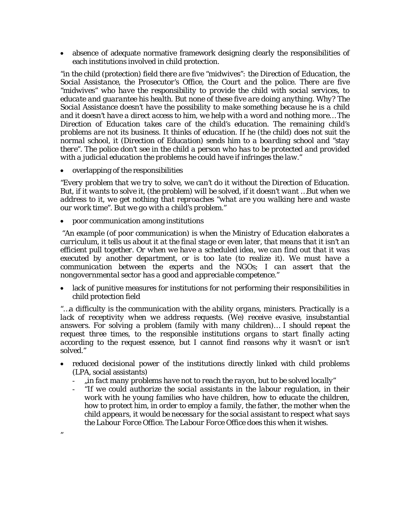• absence of adequate normative framework designing clearly the responsibilities of each institutions involved in child protection.

*"in the child* (protection) *field there are five "midwives": the Direction of Education, the Social Assistance, the Prosecutor's Office, the Court and the police. There are five "midwives" who have the responsibility to provide the child with social services, to educate and guarantee his health. But none of these five are doing anything. Why? The Social Assistance doesn't have the possibility to make something because he is a child and it doesn't have a direct access to him, we help with a word and nothing more… The Direction of Education takes care of the child's education. The remaining child's problems are not its business. It thinks of education. If he (the child) does not suit the normal school, it (Direction of Education) sends him to a boarding school and "stay there". The police don't see in the child a person who has to be protected and provided with a judicial education the problems he could have if infringes the law."* 

• overlapping of the responsibilities

*"*

*"Every problem that we try to solve, we can't do it without the Direction of Education. But, if it wants to solve it, (the problem) will be solved, if it doesn't want …But when we address to it, we get nothing that reproaches "what are you walking here and waste our work time". But we go with a child's problem."* 

• poor communication among institutions

 *"An example* (of poor communication) *is when the Ministry of Education elaborates a curriculum, it tells us about it at the final stage or even later, that means that it isn't an efficient pull together. Or when we have a scheduled idea, we can find out that it was executed by another department, or is too late* (to realize it). *We must have a communication between the experts and the NGOs; I can assert that the nongovernmental sector has a good and appreciable competence."* 

• lack of punitive measures for institutions for not performing their responsibilities in child protection field

*"…a difficulty is the communication with the ability organs, ministers. Practically is a lack of receptivity when we address requests. (We) receive evasive, insubstantial answers. For solving a problem (family with many children)… I should repeat the request three times, to the responsible institutions organs to start finally acting according to the request essence, but I cannot find reasons why it wasn't or isn't solved."* 

- reduced decisional power of the institutions directly linked with child problems (LPA, social assistants)
	- *"in fact many problems have not to reach the rayon, but to be solved locally"*
	- "*If we could authorize the social assistants in the labour regulation, in their work with he young families who have children, how to educate the children, how to protect him, in order to employ a family, the father, the mother when the child appears, it would be necessary for the social assistant to respect what says the Labour Force Office. The Labour Force Office does this when it wishes.*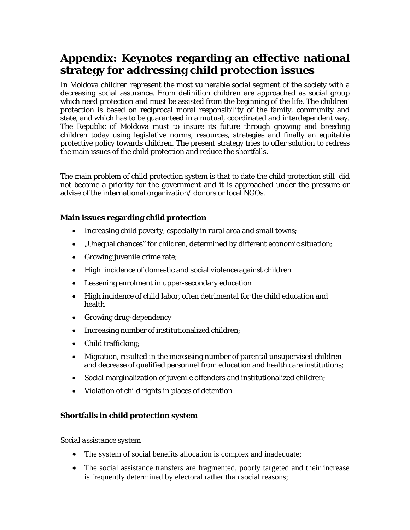# <span id="page-43-0"></span>**Appendix: Keynotes regarding an effective national strategy for addressing child protection issues**

In Moldova children represent the most vulnerable social segment of the society with a decreasing social assurance. From definition children are approached as social group which need protection and must be assisted from the beginning of the life. The children' protection is based on reciprocal moral responsibility of the family, community and state, and which has to be guaranteed in a mutual, coordinated and interdependent way. The Republic of Moldova must to insure its future through growing and breeding children today using legislative norms, resources, strategies and finally an equitable protective policy towards children. The present strategy tries to offer solution to redress the main issues of the child protection and reduce the shortfalls.

The main problem of child protection system is that to date the child protection still did not become a priority for the government and it is approached under the pressure or advise of the international organization/ donors or local NGOs.

#### **Main issues regarding child protection**

- Increasing child poverty, especially in rural area and small towns;
- "Unequal chances" for children, determined by different economic situation;
- Growing juvenile crime rate;
- High incidence of domestic and social violence against children
- Lessening enrolment in upper-secondary education
- High incidence of child labor, often detrimental for the child education and health
- Growing drug-dependency
- Increasing number of institutionalized children;
- Child trafficking;
- Migration, resulted in the increasing number of parental unsupervised children and decrease of qualified personnel from education and health care institutions;
- Social marginalization of juvenile offenders and institutionalized children;
- Violation of child rights in places of detention

#### **Shortfalls in child protection system**

#### *Social assistance system*

- The system of social benefits allocation is complex and inadequate;
- The social assistance transfers are fragmented, poorly targeted and their increase is frequently determined by electoral rather than social reasons;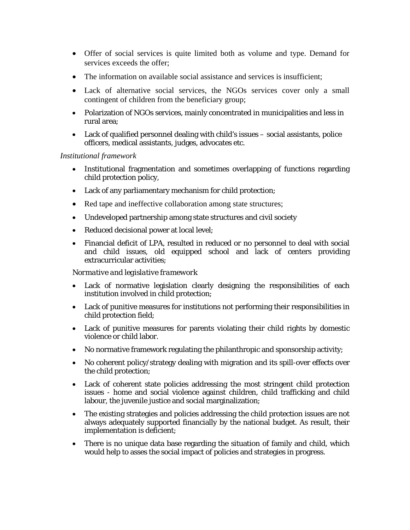- Offer of social services is quite limited both as volume and type. Demand for services exceeds the offer;
- The information on available social assistance and services is insufficient:
- Lack of alternative social services, the NGOs services cover only a small contingent of children from the beneficiary group;
- Polarization of NGOs services, mainly concentrated in municipalities and less in rural area;
- Lack of qualified personnel dealing with child's issues social assistants, police officers, medical assistants, judges, advocates etc.

#### *Institutional framework*

- Institutional fragmentation and sometimes overlapping of functions regarding child protection policy,
- Lack of any parliamentary mechanism for child protection;
- Red tape and ineffective collaboration among state structures;
- Undeveloped partnership among state structures and civil society
- Reduced decisional power at local level;
- Financial deficit of LPA, resulted in reduced or no personnel to deal with social and child issues, old equipped school and lack of centers providing extracurricular activities;

#### *Normative and legislative framework*

- Lack of normative legislation clearly designing the responsibilities of each institution involved in child protection;
- Lack of punitive measures for institutions not performing their responsibilities in child protection field;
- Lack of punitive measures for parents violating their child rights by domestic violence or child labor.
- No normative framework regulating the philanthropic and sponsorship activity;
- No coherent policy/strategy dealing with migration and its spill-over effects over the child protection;
- Lack of coherent state policies addressing the most stringent child protection issues - home and social violence against children, child trafficking and child labour, the juvenile justice and social marginalization;
- The existing strategies and policies addressing the child protection issues are not always adequately supported financially by the national budget. As result, their implementation is deficient;
- There is no unique data base regarding the situation of family and child, which would help to asses the social impact of policies and strategies in progress.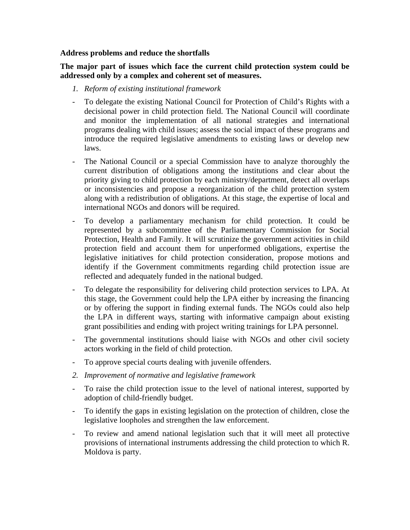#### **Address problems and reduce the shortfalls**

**The major part of issues which face the current child protection system could be addressed only by a complex and coherent set of measures.** 

- *1. Reform of existing institutional framework*
- To delegate the existing National Council for Protection of Child's Rights with a decisional power in child protection field. The National Council will coordinate and monitor the implementation of all national strategies and international programs dealing with child issues; assess the social impact of these programs and introduce the required legislative amendments to existing laws or develop new laws.
- The National Council or a special Commission have to analyze thoroughly the current distribution of obligations among the institutions and clear about the priority giving to child protection by each ministry/department, detect all overlaps or inconsistencies and propose a reorganization of the child protection system along with a redistribution of obligations. At this stage, the expertise of local and international NGOs and donors will be required.
- To develop a parliamentary mechanism for child protection. It could be represented by a subcommittee of the Parliamentary Commission for Social Protection, Health and Family. It will scrutinize the government activities in child protection field and account them for unperformed obligations, expertise the legislative initiatives for child protection consideration, propose motions and identify if the Government commitments regarding child protection issue are reflected and adequately funded in the national budged.
- To delegate the responsibility for delivering child protection services to LPA. At this stage, the Government could help the LPA either by increasing the financing or by offering the support in finding external funds. The NGOs could also help the LPA in different ways, starting with informative campaign about existing grant possibilities and ending with project writing trainings for LPA personnel.
- The governmental institutions should liaise with NGOs and other civil society actors working in the field of child protection.
- To approve special courts dealing with juvenile offenders.
- *2. Improvement of normative and legislative framework*
- To raise the child protection issue to the level of national interest, supported by adoption of child-friendly budget.
- To identify the gaps in existing legislation on the protection of children, close the legislative loopholes and strengthen the law enforcement.
- To review and amend national legislation such that it will meet all protective provisions of international instruments addressing the child protection to which R. Moldova is party.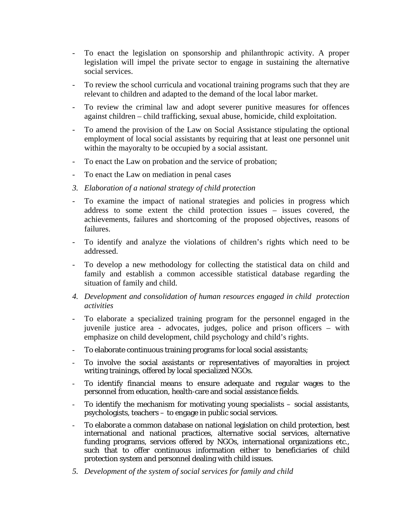- To enact the legislation on sponsorship and philanthropic activity. A proper legislation will impel the private sector to engage in sustaining the alternative social services.
- To review the school curricula and vocational training programs such that they are relevant to children and adapted to the demand of the local labor market.
- To review the criminal law and adopt severer punitive measures for offences against children – child trafficking, sexual abuse, homicide, child exploitation.
- To amend the provision of the Law on Social Assistance stipulating the optional employment of local social assistants by requiring that at least one personnel unit within the mayoralty to be occupied by a social assistant.
- To enact the Law on probation and the service of probation;
- To enact the Law on mediation in penal cases
- *3. Elaboration of a national strategy of child protection*
- To examine the impact of national strategies and policies in progress which address to some extent the child protection issues – issues covered, the achievements, failures and shortcoming of the proposed objectives, reasons of failures.
- To identify and analyze the violations of children's rights which need to be addressed.
- To develop a new methodology for collecting the statistical data on child and family and establish a common accessible statistical database regarding the situation of family and child.
- *4. Development and consolidation of human resources engaged in child protection activities*
- To elaborate a specialized training program for the personnel engaged in the juvenile justice area - advocates, judges, police and prison officers – with emphasize on child development, child psychology and child's rights.
- To elaborate continuous training programs for local social assistants;
- To involve the social assistants or representatives of mayoralties in project writing trainings, offered by local specialized NGOs.
- To identify financial means to ensure adequate and regular wages to the personnel from education, health-care and social assistance fields.
- To identify the mechanism for motivating young specialists  $-$  social assistants, psychologists, teachers – to engage in public social services.
- To elaborate a common database on national legislation on child protection, best international and national practices, alternative social services, alternative funding programs, services offered by NGOs, international organizations etc., such that to offer continuous information either to beneficiaries of child protection system and personnel dealing with child issues.
- *5. Development of the system of social services for family and child*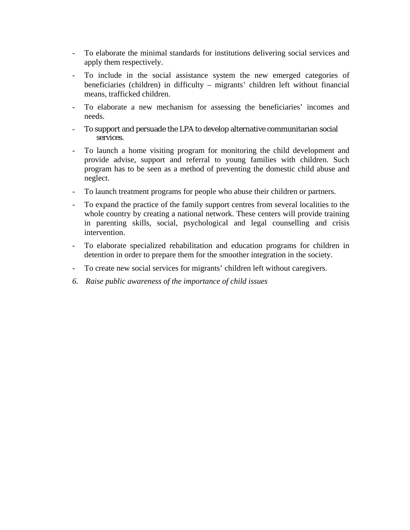- To elaborate the minimal standards for institutions delivering social services and apply them respectively.
- To include in the social assistance system the new emerged categories of beneficiaries (children) in difficulty – migrants' children left without financial means, trafficked children.
- To elaborate a new mechanism for assessing the beneficiaries' incomes and needs.
- To support and persuade the LPA to develop alternative communitarian social services.
- To launch a home visiting program for monitoring the child development and provide advise, support and referral to young families with children. Such program has to be seen as a method of preventing the domestic child abuse and neglect.
- To launch treatment programs for people who abuse their children or partners.
- To expand the practice of the family support centres from several localities to the whole country by creating a national network. These centers will provide training in parenting skills, social, psychological and legal counselling and crisis intervention.
- To elaborate specialized rehabilitation and education programs for children in detention in order to prepare them for the smoother integration in the society.
- To create new social services for migrants' children left without caregivers.
- *6. Raise public awareness of the importance of child issues*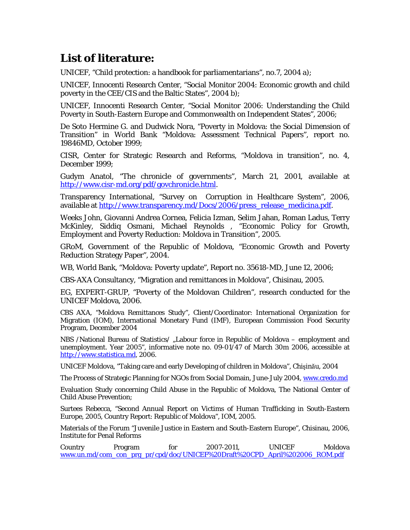# <span id="page-48-0"></span>**List of literature:**

UNICEF, "Child protection: a handbook for parliamentarians", no.7, 2004 a);

UNICEF, Innocenti Research Center, "Social Monitor 2004: Economic growth and child poverty in the CEE/CIS and the Baltic States", 2004 b);

UNICEF, Innocenti Research Center, "Social Monitor 2006: Understanding the Child Poverty in South-Eastern Europe and Commonwealth on Independent States", 2006;

De Soto Hermine G. and Dudwick Nora, "Poverty in Moldova: the Social Dimension of Transition" in World Bank "Moldova: Assessment Technical Papers", report no. 19846MD, October 1999;

CISR, Center for Strategic Research and Reforms, "Moldova in transition", no. 4, December 1999;

Gudym Anatol, "The chronicle of governments", March 21, 2001, available at <http://www.cisr-md.org/pdf/govchronicle.html>.

Transparency International, "Survey on Corruption in Healthcare System", 2006, available at [http://www.transparency.md/Docs/2006/press\\_release\\_medicina.pdf](http://www.transparency.md/Docs/2006/press_release_medicina.pdf).

Weeks John, Giovanni Andrea Cornea, Felicia Izman, Selim Jahan, Roman Ladus, Terry McKinley, Siddiq Osmani, Michael Reynolds , "Economic Policy for Growth, Employment and Poverty Reduction: Moldova in Transition", 2005.

GRoM, Government of the Republic of Moldova, "Economic Growth and Poverty Reduction Strategy Paper", 2004.

WB, World Bank, "Moldova: Poverty update", Report no. 35618-MD, June 12, 2006;

CBS-AXA Consultancy, "Migration and remittances in Moldova", Chisinau, 2005.

EG, EXPERT-GRUP, "Poverty of the Moldovan Children", research conducted for the UNICEF Moldova, 2006.

CBS AXA, "Moldova Remittances Study", Client/Coordinator: International Organization for Migration (IOM), International Monetary Fund (IMF), European Commission Food Security Program, December 2004

NBS /National Bureau of Statistics/ "Labour force in Republic of Moldova – employment and unemployment. Year 2005", informative note no. 09-01/47 of March 30m 2006, accessible at [http://www.statistica.md](http://www.statistica.md/dates.php?lang=ro&ct=21), 2006.

UNICEF Moldova, "Taking care and early Developing of children in Moldova", Chişinău, 2004

The Process of Strategic Planning for NGOs from Social Domain, June-July 2004, [www.credo.md](http://www.credo.md/)

Evaluation Study concerning Child Abuse in the Republic of Moldova, The National Center of Child Abuse Prevention;

Surtees Rebecca, "Second Annual Report on Victims of Human Trafficking in South-Eastern Europe, 2005, Country Report: Republic of Moldova", IOM, 2005.

Materials of the Forum "Juvenile Justice in Eastern and South-Eastern Europe", Chisinau, 2006, Institute for Penal Reforms

Country Program for 2007-2011, UNICEF Moldova [www.un.md/com\\_con\\_prg\\_pr/cpd/doc/UNICEF%20Draft%20CPD\\_April%202006\\_ROM.pdf](http://www.un.md/com_con_prg_pr/cpd/doc/UNICEF%20Draft%20CPD_April%202006_ROM.pdf)